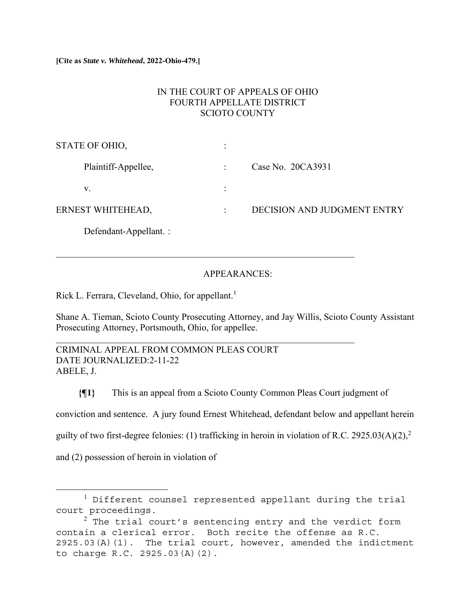# IN THE COURT OF APPEALS OF OHIO FOURTH APPELLATE DISTRICT SCIOTO COUNTY

| STATE OF OHIO,         |                             |
|------------------------|-----------------------------|
| Plaintiff-Appellee,    | Case No. 20CA3931           |
| V.                     |                             |
| ERNEST WHITEHEAD,      | DECISION AND JUDGMENT ENTRY |
| Defendant-Appellant. : |                             |

# APPEARANCES:

Rick L. Ferrara, Cleveland, Ohio, for appellant.<sup>1</sup>

Shane A. Tieman, Scioto County Prosecuting Attorney, and Jay Willis, Scioto County Assistant Prosecuting Attorney, Portsmouth, Ohio, for appellee.

CRIMINAL APPEAL FROM COMMON PLEAS COURT DATE JOURNALIZED:2-11-22 ABELE, J.

**{¶1}** This is an appeal from a Scioto County Common Pleas Court judgment of conviction and sentence. A jury found Ernest Whitehead, defendant below and appellant herein guilty of two first-degree felonies: (1) trafficking in heroin in violation of R.C. 2925.03(A)(2),<sup>2</sup> and (2) possession of heroin in violation of

<sup>&</sup>lt;sup>1</sup> Different counsel represented appellant during the trial court proceedings.

 $^2$  The trial court's sentencing entry and the verdict form contain a clerical error. Both recite the offense as R.C. 2925.03(A)(1). The trial court, however, amended the indictment to charge R.C. 2925.03(A)(2).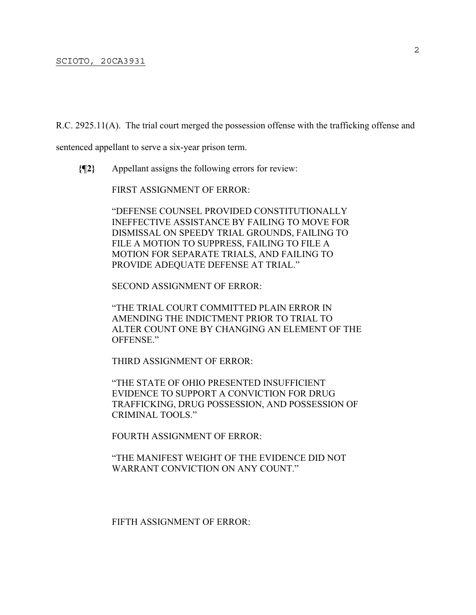R.C. 2925.11(A). The trial court merged the possession offense with the trafficking offense and

sentenced appellant to serve a six-year prison term.

**{¶2}** Appellant assigns the following errors for review:

FIRST ASSIGNMENT OF ERROR:

"DEFENSE COUNSEL PROVIDED CONSTITUTIONALLY INEFFECTIVE ASSISTANCE BY FAILING TO MOVE FOR DISMISSAL ON SPEEDY TRIAL GROUNDS, FAILING TO FILE A MOTION TO SUPPRESS, FAILING TO FILE A MOTION FOR SEPARATE TRIALS, AND FAILING TO PROVIDE ADEQUATE DEFENSE AT TRIAL."

SECOND ASSIGNMENT OF ERROR:

"THE TRIAL COURT COMMITTED PLAIN ERROR IN AMENDING THE INDICTMENT PRIOR TO TRIAL TO ALTER COUNT ONE BY CHANGING AN ELEMENT OF THE OFFENSE."

THIRD ASSIGNMENT OF ERROR:

"THE STATE OF OHIO PRESENTED INSUFFICIENT EVIDENCE TO SUPPORT A CONVICTION FOR DRUG TRAFFICKING, DRUG POSSESSION, AND POSSESSION OF CRIMINAL TOOLS."

FOURTH ASSIGNMENT OF ERROR:

"THE MANIFEST WEIGHT OF THE EVIDENCE DID NOT WARRANT CONVICTION ON ANY COUNT."

FIFTH ASSIGNMENT OF ERROR: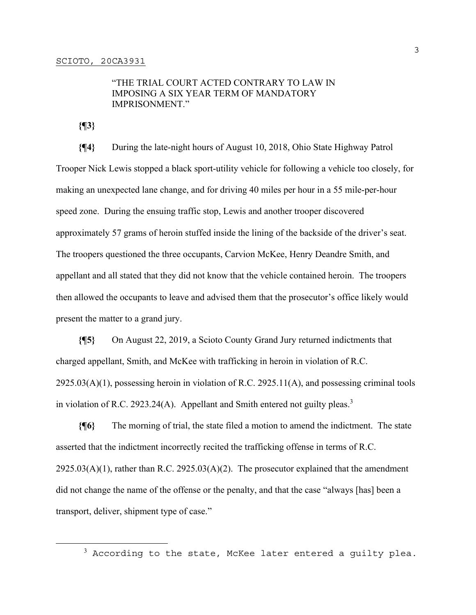# "THE TRIAL COURT ACTED CONTRARY TO LAW IN IMPOSING A SIX YEAR TERM OF MANDATORY IMPRISONMENT."

**{¶3}**

**{¶4}** During the late-night hours of August 10, 2018, Ohio State Highway Patrol Trooper Nick Lewis stopped a black sport-utility vehicle for following a vehicle too closely, for making an unexpected lane change, and for driving 40 miles per hour in a 55 mile-per-hour speed zone. During the ensuing traffic stop, Lewis and another trooper discovered approximately 57 grams of heroin stuffed inside the lining of the backside of the driver's seat. The troopers questioned the three occupants, Carvion McKee, Henry Deandre Smith, and appellant and all stated that they did not know that the vehicle contained heroin. The troopers then allowed the occupants to leave and advised them that the prosecutor's office likely would present the matter to a grand jury.

**{¶5}** On August 22, 2019, a Scioto County Grand Jury returned indictments that charged appellant, Smith, and McKee with trafficking in heroin in violation of R.C.  $2925.03(A)(1)$ , possessing heroin in violation of R.C. 2925.11(A), and possessing criminal tools in violation of R.C. 2923.24(A). Appellant and Smith entered not guilty pleas.<sup>3</sup>

**{¶6}** The morning of trial, the state filed a motion to amend the indictment. The state asserted that the indictment incorrectly recited the trafficking offense in terms of R.C.  $2925.03(A)(1)$ , rather than R.C.  $2925.03(A)(2)$ . The prosecutor explained that the amendment did not change the name of the offense or the penalty, and that the case "always [has] been a transport, deliver, shipment type of case."

 $^3$  According to the state, McKee later entered a guilty plea.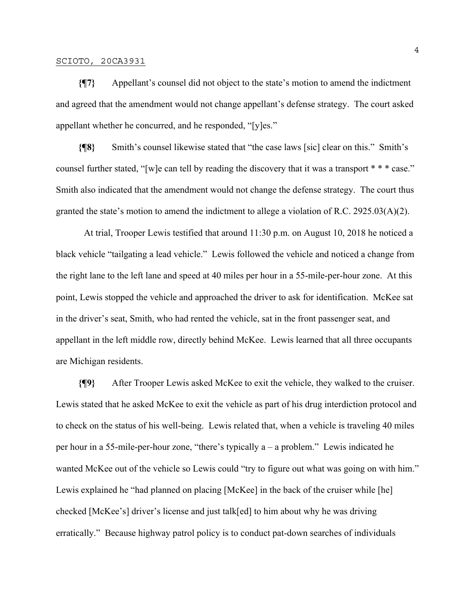**{¶7}** Appellant's counsel did not object to the state's motion to amend the indictment and agreed that the amendment would not change appellant's defense strategy. The court asked appellant whether he concurred, and he responded, "[y]es."

**{¶8}** Smith's counsel likewise stated that "the case laws [sic] clear on this." Smith's counsel further stated, "[w]e can tell by reading the discovery that it was a transport \* \* \* case." Smith also indicated that the amendment would not change the defense strategy. The court thus granted the state's motion to amend the indictment to allege a violation of R.C. 2925.03(A)(2).

 At trial, Trooper Lewis testified that around 11:30 p.m. on August 10, 2018 he noticed a black vehicle "tailgating a lead vehicle." Lewis followed the vehicle and noticed a change from the right lane to the left lane and speed at 40 miles per hour in a 55-mile-per-hour zone. At this point, Lewis stopped the vehicle and approached the driver to ask for identification. McKee sat in the driver's seat, Smith, who had rented the vehicle, sat in the front passenger seat, and appellant in the left middle row, directly behind McKee. Lewis learned that all three occupants are Michigan residents.

**{¶9}** After Trooper Lewis asked McKee to exit the vehicle, they walked to the cruiser. Lewis stated that he asked McKee to exit the vehicle as part of his drug interdiction protocol and to check on the status of his well-being. Lewis related that, when a vehicle is traveling 40 miles per hour in a 55-mile-per-hour zone, "there's typically a – a problem." Lewis indicated he wanted McKee out of the vehicle so Lewis could "try to figure out what was going on with him." Lewis explained he "had planned on placing [McKee] in the back of the cruiser while [he] checked [McKee's] driver's license and just talk[ed] to him about why he was driving erratically." Because highway patrol policy is to conduct pat-down searches of individuals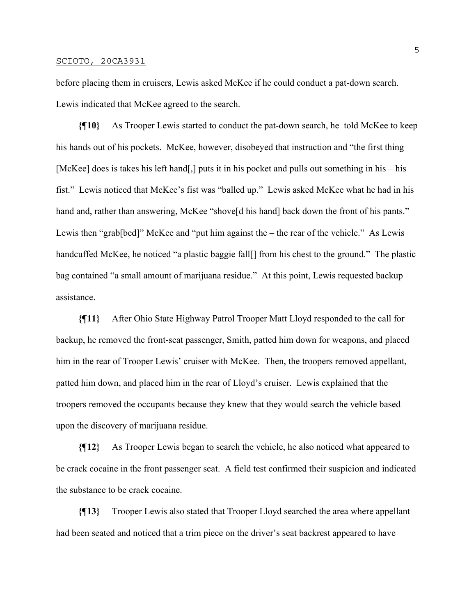before placing them in cruisers, Lewis asked McKee if he could conduct a pat-down search. Lewis indicated that McKee agreed to the search.

**{¶10}** As Trooper Lewis started to conduct the pat-down search, he told McKee to keep his hands out of his pockets. McKee, however, disobeyed that instruction and "the first thing [McKee] does is takes his left hand[,] puts it in his pocket and pulls out something in his – his fist." Lewis noticed that McKee's fist was "balled up." Lewis asked McKee what he had in his hand and, rather than answering, McKee "shove<sup>[d his hand]</sup> back down the front of his pants." Lewis then "grab[bed]" McKee and "put him against the – the rear of the vehicle." As Lewis handcuffed McKee, he noticed "a plastic baggie fall<sup>[]</sup> from his chest to the ground." The plastic bag contained "a small amount of marijuana residue." At this point, Lewis requested backup assistance.

**{¶11}** After Ohio State Highway Patrol Trooper Matt Lloyd responded to the call for backup, he removed the front-seat passenger, Smith, patted him down for weapons, and placed him in the rear of Trooper Lewis' cruiser with McKee. Then, the troopers removed appellant, patted him down, and placed him in the rear of Lloyd's cruiser. Lewis explained that the troopers removed the occupants because they knew that they would search the vehicle based upon the discovery of marijuana residue.

**{¶12}** As Trooper Lewis began to search the vehicle, he also noticed what appeared to be crack cocaine in the front passenger seat. A field test confirmed their suspicion and indicated the substance to be crack cocaine.

**{¶13}** Trooper Lewis also stated that Trooper Lloyd searched the area where appellant had been seated and noticed that a trim piece on the driver's seat backrest appeared to have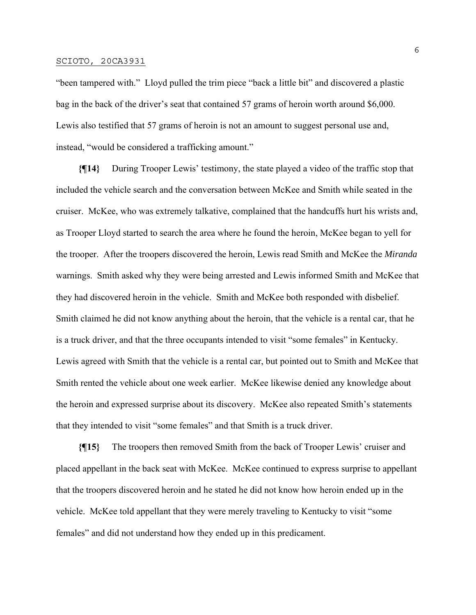"been tampered with." Lloyd pulled the trim piece "back a little bit" and discovered a plastic bag in the back of the driver's seat that contained 57 grams of heroin worth around \$6,000. Lewis also testified that 57 grams of heroin is not an amount to suggest personal use and, instead, "would be considered a trafficking amount."

**{¶14}** During Trooper Lewis' testimony, the state played a video of the traffic stop that included the vehicle search and the conversation between McKee and Smith while seated in the cruiser. McKee, who was extremely talkative, complained that the handcuffs hurt his wrists and, as Trooper Lloyd started to search the area where he found the heroin, McKee began to yell for the trooper. After the troopers discovered the heroin, Lewis read Smith and McKee the *Miranda*  warnings. Smith asked why they were being arrested and Lewis informed Smith and McKee that they had discovered heroin in the vehicle. Smith and McKee both responded with disbelief. Smith claimed he did not know anything about the heroin, that the vehicle is a rental car, that he is a truck driver, and that the three occupants intended to visit "some females" in Kentucky. Lewis agreed with Smith that the vehicle is a rental car, but pointed out to Smith and McKee that Smith rented the vehicle about one week earlier. McKee likewise denied any knowledge about the heroin and expressed surprise about its discovery. McKee also repeated Smith's statements that they intended to visit "some females" and that Smith is a truck driver.

**{¶15}** The troopers then removed Smith from the back of Trooper Lewis' cruiser and placed appellant in the back seat with McKee. McKee continued to express surprise to appellant that the troopers discovered heroin and he stated he did not know how heroin ended up in the vehicle. McKee told appellant that they were merely traveling to Kentucky to visit "some females" and did not understand how they ended up in this predicament.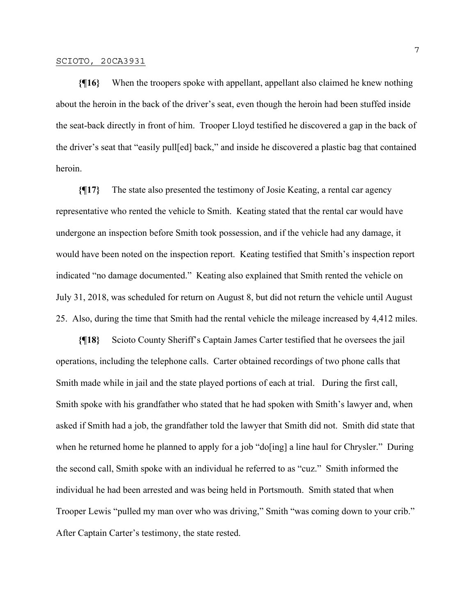**{¶16}** When the troopers spoke with appellant, appellant also claimed he knew nothing about the heroin in the back of the driver's seat, even though the heroin had been stuffed inside the seat-back directly in front of him. Trooper Lloyd testified he discovered a gap in the back of the driver's seat that "easily pull[ed] back," and inside he discovered a plastic bag that contained heroin.

**{¶17}** The state also presented the testimony of Josie Keating, a rental car agency representative who rented the vehicle to Smith. Keating stated that the rental car would have undergone an inspection before Smith took possession, and if the vehicle had any damage, it would have been noted on the inspection report. Keating testified that Smith's inspection report indicated "no damage documented." Keating also explained that Smith rented the vehicle on July 31, 2018, was scheduled for return on August 8, but did not return the vehicle until August 25. Also, during the time that Smith had the rental vehicle the mileage increased by 4,412 miles.

**{¶18}** Scioto County Sheriff's Captain James Carter testified that he oversees the jail operations, including the telephone calls. Carter obtained recordings of two phone calls that Smith made while in jail and the state played portions of each at trial. During the first call, Smith spoke with his grandfather who stated that he had spoken with Smith's lawyer and, when asked if Smith had a job, the grandfather told the lawyer that Smith did not. Smith did state that when he returned home he planned to apply for a job "do<sup>[ing]</sup> a line haul for Chrysler." During the second call, Smith spoke with an individual he referred to as "cuz." Smith informed the individual he had been arrested and was being held in Portsmouth. Smith stated that when Trooper Lewis "pulled my man over who was driving," Smith "was coming down to your crib." After Captain Carter's testimony, the state rested.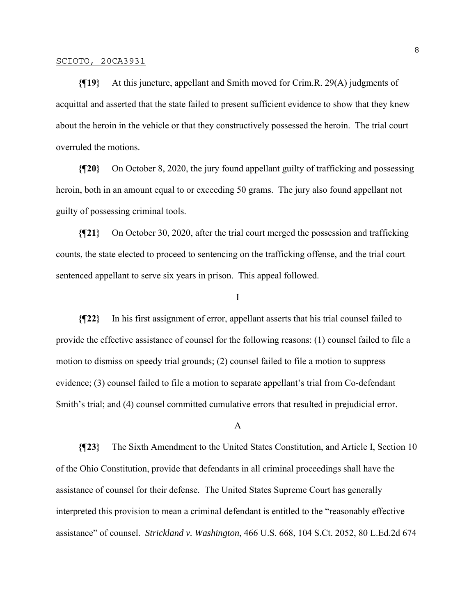**{¶19}** At this juncture, appellant and Smith moved for Crim.R. 29(A) judgments of acquittal and asserted that the state failed to present sufficient evidence to show that they knew about the heroin in the vehicle or that they constructively possessed the heroin. The trial court overruled the motions.

**{¶20}** On October 8, 2020, the jury found appellant guilty of trafficking and possessing heroin, both in an amount equal to or exceeding 50 grams. The jury also found appellant not guilty of possessing criminal tools.

**{¶21}** On October 30, 2020, after the trial court merged the possession and trafficking counts, the state elected to proceed to sentencing on the trafficking offense, and the trial court sentenced appellant to serve six years in prison. This appeal followed.

### I

**{¶22}** In his first assignment of error, appellant asserts that his trial counsel failed to provide the effective assistance of counsel for the following reasons: (1) counsel failed to file a motion to dismiss on speedy trial grounds; (2) counsel failed to file a motion to suppress evidence; (3) counsel failed to file a motion to separate appellant's trial from Co-defendant Smith's trial; and (4) counsel committed cumulative errors that resulted in prejudicial error.

### A

**{¶23}** The Sixth Amendment to the United States Constitution, and Article I, Section 10 of the Ohio Constitution, provide that defendants in all criminal proceedings shall have the assistance of counsel for their defense. The United States Supreme Court has generally interpreted this provision to mean a criminal defendant is entitled to the "reasonably effective assistance" of counsel. *Strickland v. Washington*, 466 U.S. 668, 104 S.Ct. 2052, 80 L.Ed.2d 674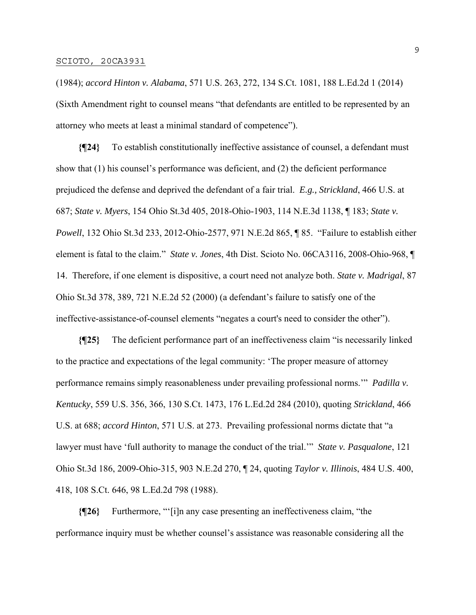(1984); *accord Hinton v. Alabama*, 571 U.S. 263, 272, 134 S.Ct. 1081, 188 L.Ed.2d 1 (2014) (Sixth Amendment right to counsel means "that defendants are entitled to be represented by an attorney who meets at least a minimal standard of competence").

**{¶24}** To establish constitutionally ineffective assistance of counsel, a defendant must show that (1) his counsel's performance was deficient, and (2) the deficient performance prejudiced the defense and deprived the defendant of a fair trial. *E.g., Strickland*, 466 U.S. at 687; *State v. Myers*, 154 Ohio St.3d 405, 2018-Ohio-1903, 114 N.E.3d 1138, ¶ 183; *State v. Powell*, 132 Ohio St.3d 233, 2012-Ohio-2577, 971 N.E.2d 865, ¶ 85. "Failure to establish either element is fatal to the claim." *State v. Jones*, 4th Dist. Scioto No. 06CA3116, 2008-Ohio-968, ¶ 14. Therefore, if one element is dispositive, a court need not analyze both. *State v. Madrigal*, 87 Ohio St.3d 378, 389, 721 N.E.2d 52 (2000) (a defendant's failure to satisfy one of the ineffective-assistance-of-counsel elements "negates a court's need to consider the other").

**{¶25}** The deficient performance part of an ineffectiveness claim "is necessarily linked to the practice and expectations of the legal community: 'The proper measure of attorney performance remains simply reasonableness under prevailing professional norms.'" *Padilla v. Kentucky*, 559 U.S. 356, 366, 130 S.Ct. 1473, 176 L.Ed.2d 284 (2010), quoting *Strickland*, 466 U.S. at 688; *accord Hinton*, 571 U.S. at 273. Prevailing professional norms dictate that "a lawyer must have 'full authority to manage the conduct of the trial.'" *State v. Pasqualone*, 121 Ohio St.3d 186, 2009-Ohio-315, 903 N.E.2d 270, ¶ 24, quoting *Taylor v. Illinois*, 484 U.S. 400, 418, 108 S.Ct. 646, 98 L.Ed.2d 798 (1988).

**{¶26}** Furthermore, "'[i]n any case presenting an ineffectiveness claim, "the performance inquiry must be whether counsel's assistance was reasonable considering all the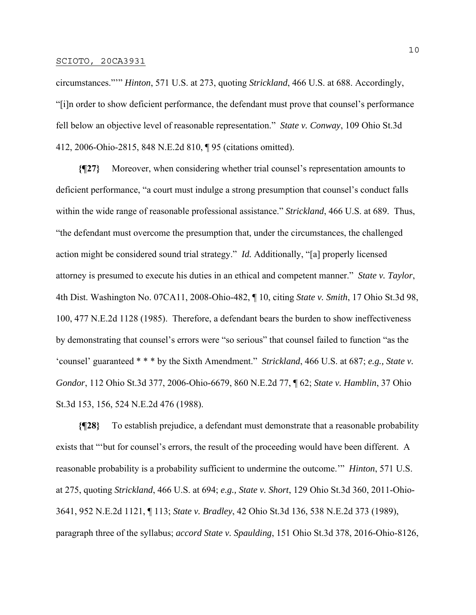circumstances."'" *Hinton*, 571 U.S. at 273, quoting *Strickland*, 466 U.S. at 688. Accordingly, "[i]n order to show deficient performance, the defendant must prove that counsel's performance fell below an objective level of reasonable representation." *State v. Conway*, 109 Ohio St.3d 412, 2006-Ohio-2815, 848 N.E.2d 810, ¶ 95 (citations omitted).

**{¶27}** Moreover, when considering whether trial counsel's representation amounts to deficient performance, "a court must indulge a strong presumption that counsel's conduct falls within the wide range of reasonable professional assistance." *Strickland*, 466 U.S. at 689. Thus, "the defendant must overcome the presumption that, under the circumstances, the challenged action might be considered sound trial strategy." *Id.* Additionally, "[a] properly licensed attorney is presumed to execute his duties in an ethical and competent manner." *State v. Taylor*, 4th Dist. Washington No. 07CA11, 2008-Ohio-482, ¶ 10, citing *State v. Smith*, 17 Ohio St.3d 98, 100, 477 N.E.2d 1128 (1985). Therefore, a defendant bears the burden to show ineffectiveness by demonstrating that counsel's errors were "so serious" that counsel failed to function "as the 'counsel' guaranteed \* \* \* by the Sixth Amendment." *Strickland*, 466 U.S. at 687; *e.g., State v. Gondor*, 112 Ohio St.3d 377, 2006-Ohio-6679, 860 N.E.2d 77, ¶ 62; *State v. Hamblin*, 37 Ohio St.3d 153, 156, 524 N.E.2d 476 (1988).

**{¶28}** To establish prejudice, a defendant must demonstrate that a reasonable probability exists that "'but for counsel's errors, the result of the proceeding would have been different. A reasonable probability is a probability sufficient to undermine the outcome.'" *Hinton*, 571 U.S. at 275, quoting *Strickland*, 466 U.S. at 694; *e.g., State v. Short*, 129 Ohio St.3d 360, 2011-Ohio-3641, 952 N.E.2d 1121, ¶ 113; *State v. Bradley*, 42 Ohio St.3d 136, 538 N.E.2d 373 (1989), paragraph three of the syllabus; *accord State v. Spaulding*, 151 Ohio St.3d 378, 2016-Ohio-8126,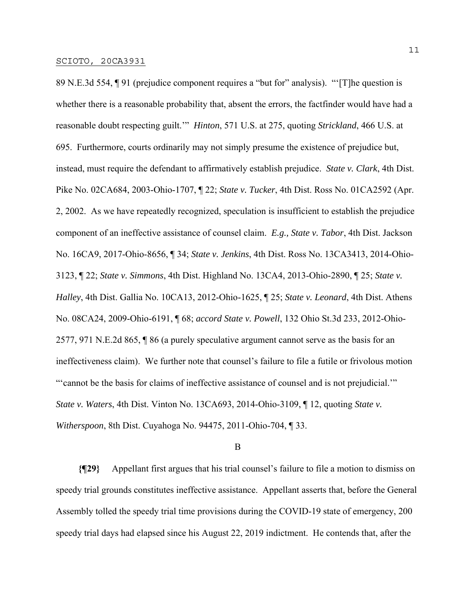89 N.E.3d 554, ¶ 91 (prejudice component requires a "but for" analysis). "'[T]he question is whether there is a reasonable probability that, absent the errors, the factfinder would have had a reasonable doubt respecting guilt.'" *Hinton*, 571 U.S. at 275, quoting *Strickland*, 466 U.S. at 695. Furthermore, courts ordinarily may not simply presume the existence of prejudice but, instead, must require the defendant to affirmatively establish prejudice. *State v. Clark*, 4th Dist. Pike No. 02CA684, 2003-Ohio-1707, ¶ 22; *State v. Tucker*, 4th Dist. Ross No. 01CA2592 (Apr. 2, 2002. As we have repeatedly recognized, speculation is insufficient to establish the prejudice component of an ineffective assistance of counsel claim. *E.g., State v. Tabor*, 4th Dist. Jackson No. 16CA9, 2017-Ohio-8656, ¶ 34; *State v. Jenkins*, 4th Dist. Ross No. 13CA3413, 2014-Ohio-3123, ¶ 22; *State v. Simmons*, 4th Dist. Highland No. 13CA4, 2013-Ohio-2890, ¶ 25; *State v. Halley*, 4th Dist. Gallia No. 10CA13, 2012-Ohio-1625, ¶ 25; *State v. Leonard*, 4th Dist. Athens No. 08CA24, 2009-Ohio-6191, ¶ 68; *accord State v. Powell*, 132 Ohio St.3d 233, 2012-Ohio-2577, 971 N.E.2d 865, ¶ 86 (a purely speculative argument cannot serve as the basis for an ineffectiveness claim). We further note that counsel's failure to file a futile or frivolous motion "'cannot be the basis for claims of ineffective assistance of counsel and is not prejudicial.'" *State v. Waters*, 4th Dist. Vinton No. 13CA693, 2014-Ohio-3109, ¶ 12, quoting *State v. Witherspoon*, 8th Dist. Cuyahoga No. 94475, 2011-Ohio-704, ¶ 33.

### B

**{¶29}** Appellant first argues that his trial counsel's failure to file a motion to dismiss on speedy trial grounds constitutes ineffective assistance. Appellant asserts that, before the General Assembly tolled the speedy trial time provisions during the COVID-19 state of emergency, 200 speedy trial days had elapsed since his August 22, 2019 indictment. He contends that, after the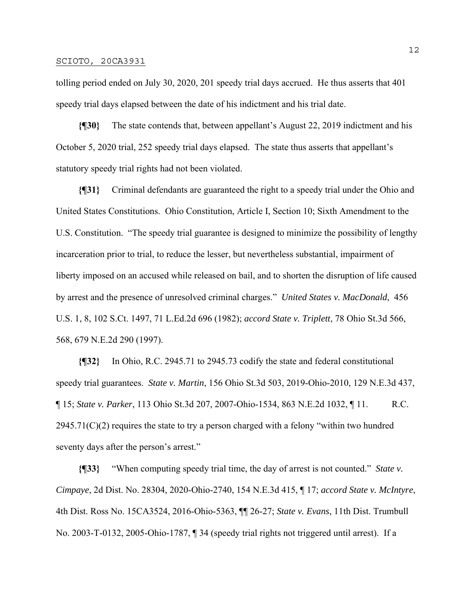tolling period ended on July 30, 2020, 201 speedy trial days accrued. He thus asserts that 401 speedy trial days elapsed between the date of his indictment and his trial date.

**{¶30}** The state contends that, between appellant's August 22, 2019 indictment and his October 5, 2020 trial, 252 speedy trial days elapsed. The state thus asserts that appellant's statutory speedy trial rights had not been violated.

**{¶31}** Criminal defendants are guaranteed the right to a speedy trial under the Ohio and United States Constitutions. Ohio Constitution, Article I, Section 10; Sixth Amendment to the U.S. Constitution. "The speedy trial guarantee is designed to minimize the possibility of lengthy incarceration prior to trial, to reduce the lesser, but nevertheless substantial, impairment of liberty imposed on an accused while released on bail, and to shorten the disruption of life caused by arrest and the presence of unresolved criminal charges." *United States v. MacDonald*, 456 U.S. 1, 8, 102 S.Ct. 1497, 71 L.Ed.2d 696 (1982); *accord State v. Triplett*, 78 Ohio St.3d 566, 568, 679 N.E.2d 290 (1997).

**{¶32}** In Ohio, R.C. 2945.71 to 2945.73 codify the state and federal constitutional speedy trial guarantees. *State v. Martin*, 156 Ohio St.3d 503, 2019-Ohio-2010, 129 N.E.3d 437, ¶ 15; *State v. Parker*, 113 Ohio St.3d 207, 2007-Ohio-1534, 863 N.E.2d 1032, ¶ 11. R.C.  $2945.71(C)(2)$  requires the state to try a person charged with a felony "within two hundred seventy days after the person's arrest."

**{¶33}** "When computing speedy trial time, the day of arrest is not counted." *State v. Cimpaye*, 2d Dist. No. 28304, 2020-Ohio-2740, 154 N.E.3d 415, ¶ 17; *accord State v. McIntyre*, 4th Dist. Ross No. 15CA3524, 2016-Ohio-5363, ¶¶ 26-27; *State v. Evans*, 11th Dist. Trumbull No. 2003-T-0132, 2005-Ohio-1787, ¶ 34 (speedy trial rights not triggered until arrest). If a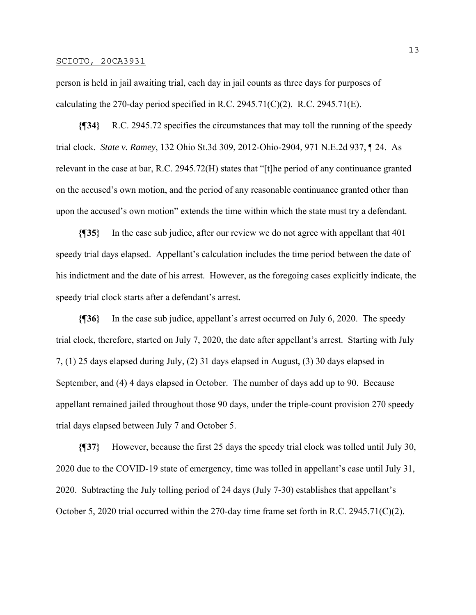person is held in jail awaiting trial, each day in jail counts as three days for purposes of calculating the 270-day period specified in R.C. 2945.71(C)(2). R.C. 2945.71(E).

**{¶34}** R.C. 2945.72 specifies the circumstances that may toll the running of the speedy trial clock. *State v. Ramey*, 132 Ohio St.3d 309, 2012-Ohio-2904, 971 N.E.2d 937, ¶ 24. As relevant in the case at bar, R.C. 2945.72(H) states that "[t]he period of any continuance granted on the accused's own motion, and the period of any reasonable continuance granted other than upon the accused's own motion" extends the time within which the state must try a defendant.

**{¶35}** In the case sub judice, after our review we do not agree with appellant that 401 speedy trial days elapsed. Appellant's calculation includes the time period between the date of his indictment and the date of his arrest. However, as the foregoing cases explicitly indicate, the speedy trial clock starts after a defendant's arrest.

**{¶36}** In the case sub judice, appellant's arrest occurred on July 6, 2020. The speedy trial clock, therefore, started on July 7, 2020, the date after appellant's arrest. Starting with July 7, (1) 25 days elapsed during July, (2) 31 days elapsed in August, (3) 30 days elapsed in September, and (4) 4 days elapsed in October. The number of days add up to 90. Because appellant remained jailed throughout those 90 days, under the triple-count provision 270 speedy trial days elapsed between July 7 and October 5.

**{¶37}** However, because the first 25 days the speedy trial clock was tolled until July 30, 2020 due to the COVID-19 state of emergency, time was tolled in appellant's case until July 31, 2020. Subtracting the July tolling period of 24 days (July 7-30) establishes that appellant's October 5, 2020 trial occurred within the 270-day time frame set forth in R.C. 2945.71(C)(2).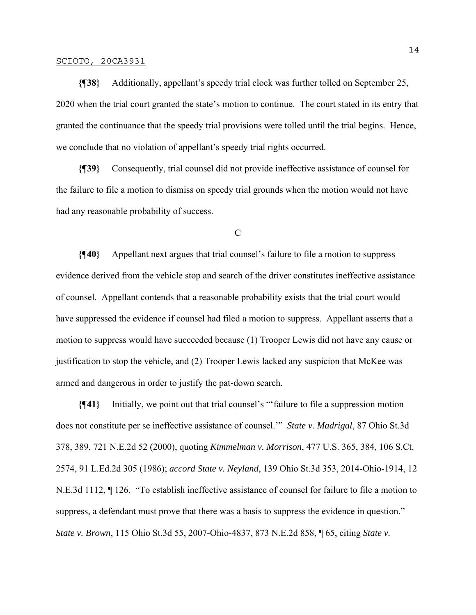**{¶38}** Additionally, appellant's speedy trial clock was further tolled on September 25, 2020 when the trial court granted the state's motion to continue. The court stated in its entry that granted the continuance that the speedy trial provisions were tolled until the trial begins. Hence, we conclude that no violation of appellant's speedy trial rights occurred.

**{¶39}** Consequently, trial counsel did not provide ineffective assistance of counsel for the failure to file a motion to dismiss on speedy trial grounds when the motion would not have had any reasonable probability of success.

C

**{¶40}** Appellant next argues that trial counsel's failure to file a motion to suppress evidence derived from the vehicle stop and search of the driver constitutes ineffective assistance of counsel. Appellant contends that a reasonable probability exists that the trial court would have suppressed the evidence if counsel had filed a motion to suppress. Appellant asserts that a motion to suppress would have succeeded because (1) Trooper Lewis did not have any cause or justification to stop the vehicle, and (2) Trooper Lewis lacked any suspicion that McKee was armed and dangerous in order to justify the pat-down search.

**{¶41}** Initially, we point out that trial counsel's "'failure to file a suppression motion does not constitute per se ineffective assistance of counsel.'" *State v. Madrigal*, 87 Ohio St.3d 378, 389, 721 N.E.2d 52 (2000), quoting *Kimmelman v. Morrison*, 477 U.S. 365, 384, 106 S.Ct. 2574, 91 L.Ed.2d 305 (1986); *accord State v. Neyland*, 139 Ohio St.3d 353, 2014-Ohio-1914, 12 N.E.3d 1112, ¶ 126. "To establish ineffective assistance of counsel for failure to file a motion to suppress, a defendant must prove that there was a basis to suppress the evidence in question." *State v. Brown*, 115 Ohio St.3d 55, 2007-Ohio-4837, 873 N.E.2d 858, ¶ 65, citing *State v.*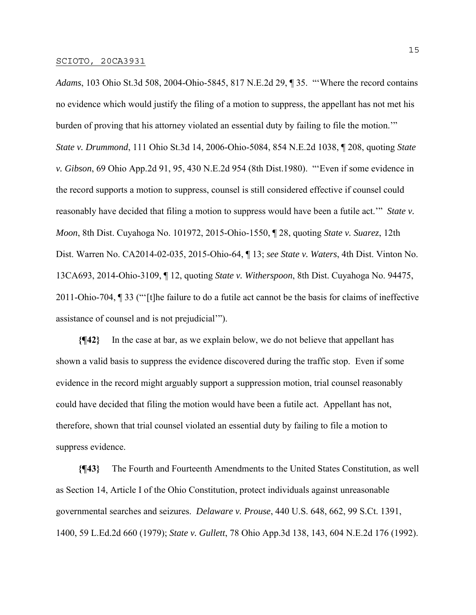*Adams*, 103 Ohio St.3d 508, 2004-Ohio-5845, 817 N.E.2d 29, ¶ 35. "'Where the record contains no evidence which would justify the filing of a motion to suppress, the appellant has not met his burden of proving that his attorney violated an essential duty by failing to file the motion.'" *State v. Drummond*, 111 Ohio St.3d 14, 2006-Ohio-5084, 854 N.E.2d 1038, ¶ 208, quoting *State v. Gibson*, 69 Ohio App.2d 91, 95, 430 N.E.2d 954 (8th Dist.1980). "'Even if some evidence in the record supports a motion to suppress, counsel is still considered effective if counsel could reasonably have decided that filing a motion to suppress would have been a futile act.'" *State v. Moon*, 8th Dist. Cuyahoga No. 101972, 2015-Ohio-1550, ¶ 28, quoting *State v. Suarez*, 12th Dist. Warren No. CA2014-02-035, 2015-Ohio-64, ¶ 13; *see State v. Waters*, 4th Dist. Vinton No. 13CA693, 2014-Ohio-3109, ¶ 12, quoting *State v. Witherspoon*, 8th Dist. Cuyahoga No. 94475, 2011-Ohio-704, ¶ 33 ("'[t]he failure to do a futile act cannot be the basis for claims of ineffective assistance of counsel and is not prejudicial'").

**{¶42}** In the case at bar, as we explain below, we do not believe that appellant has shown a valid basis to suppress the evidence discovered during the traffic stop. Even if some evidence in the record might arguably support a suppression motion, trial counsel reasonably could have decided that filing the motion would have been a futile act. Appellant has not, therefore, shown that trial counsel violated an essential duty by failing to file a motion to suppress evidence.

**{¶43}** The Fourth and Fourteenth Amendments to the United States Constitution, as well as Section 14, Article I of the Ohio Constitution, protect individuals against unreasonable governmental searches and seizures. *Delaware v. Prouse*, 440 U.S. 648, 662, 99 S.Ct. 1391, 1400, 59 L.Ed.2d 660 (1979); *State v. Gullett*, 78 Ohio App.3d 138, 143, 604 N.E.2d 176 (1992).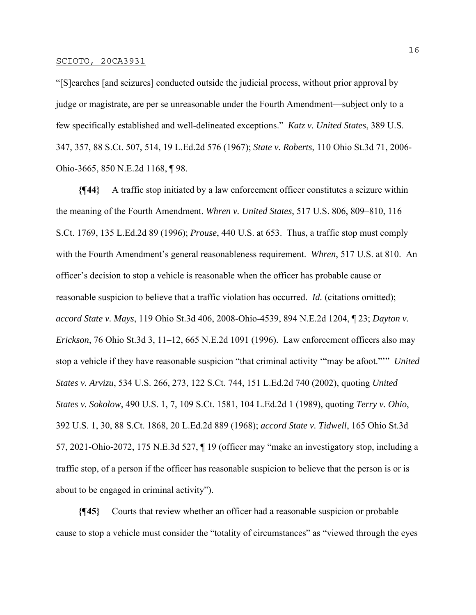"[S]earches [and seizures] conducted outside the judicial process, without prior approval by judge or magistrate, are per se unreasonable under the Fourth Amendment—subject only to a few specifically established and well-delineated exceptions." *Katz v. United States*, 389 U.S. 347, 357, 88 S.Ct. 507, 514, 19 L.Ed.2d 576 (1967); *State v. Roberts*, 110 Ohio St.3d 71, 2006- Ohio-3665, 850 N.E.2d 1168, ¶ 98.

**{¶44}** A traffic stop initiated by a law enforcement officer constitutes a seizure within the meaning of the Fourth Amendment. *Whren v. United States*, 517 U.S. 806, 809–810, 116 S.Ct. 1769, 135 L.Ed.2d 89 (1996); *Prouse*, 440 U.S. at 653. Thus, a traffic stop must comply with the Fourth Amendment's general reasonableness requirement. *Whren*, 517 U.S. at 810. An officer's decision to stop a vehicle is reasonable when the officer has probable cause or reasonable suspicion to believe that a traffic violation has occurred. *Id.* (citations omitted); *accord State v. Mays*, 119 Ohio St.3d 406, 2008-Ohio-4539, 894 N.E.2d 1204, ¶ 23; *Dayton v. Erickson*, 76 Ohio St.3d 3, 11–12, 665 N.E.2d 1091 (1996). Law enforcement officers also may stop a vehicle if they have reasonable suspicion "that criminal activity '"may be afoot."'" *United States v. Arvizu*, 534 U.S. 266, 273, 122 S.Ct. 744, 151 L.Ed.2d 740 (2002), quoting *United States v. Sokolow*, 490 U.S. 1, 7, 109 S.Ct. 1581, 104 L.Ed.2d 1 (1989), quoting *Terry v. Ohio*, 392 U.S. 1, 30, 88 S.Ct. 1868, 20 L.Ed.2d 889 (1968); *accord State v. Tidwell*, 165 Ohio St.3d 57, 2021-Ohio-2072, 175 N.E.3d 527, ¶ 19 (officer may "make an investigatory stop, including a traffic stop, of a person if the officer has reasonable suspicion to believe that the person is or is about to be engaged in criminal activity").

**{¶45}** Courts that review whether an officer had a reasonable suspicion or probable cause to stop a vehicle must consider the "totality of circumstances" as "viewed through the eyes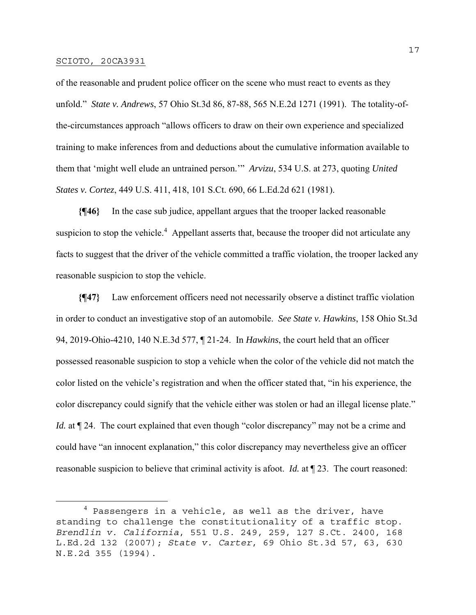of the reasonable and prudent police officer on the scene who must react to events as they unfold." *State v. Andrews*, 57 Ohio St.3d 86, 87-88, 565 N.E.2d 1271 (1991). The totality-ofthe-circumstances approach "allows officers to draw on their own experience and specialized training to make inferences from and deductions about the cumulative information available to them that 'might well elude an untrained person.'" *Arvizu*, 534 U.S. at 273, quoting *United States v. Cortez*, 449 U.S. 411, 418, 101 S.Ct. 690, 66 L.Ed.2d 621 (1981).

**{¶46}** In the case sub judice, appellant argues that the trooper lacked reasonable suspicion to stop the vehicle.<sup>4</sup> Appellant asserts that, because the trooper did not articulate any facts to suggest that the driver of the vehicle committed a traffic violation, the trooper lacked any reasonable suspicion to stop the vehicle.

**{¶47}** Law enforcement officers need not necessarily observe a distinct traffic violation in order to conduct an investigative stop of an automobile. *See State v. Hawkins*, 158 Ohio St.3d 94, 2019-Ohio-4210, 140 N.E.3d 577, ¶ 21-24. In *Hawkins*, the court held that an officer possessed reasonable suspicion to stop a vehicle when the color of the vehicle did not match the color listed on the vehicle's registration and when the officer stated that, "in his experience, the color discrepancy could signify that the vehicle either was stolen or had an illegal license plate." *Id.* at  $\P$  24. The court explained that even though "color discrepancy" may not be a crime and could have "an innocent explanation," this color discrepancy may nevertheless give an officer reasonable suspicion to believe that criminal activity is afoot. *Id.* at ¶ 23. The court reasoned:

<sup>&</sup>lt;sup>4</sup> Passengers in a vehicle, as well as the driver, have standing to challenge the constitutionality of a traffic stop. *Brendlin v. California*, 551 U.S. 249, 259, 127 S.Ct. 2400, 168 L.Ed.2d 132 (2007); *State v. Carter*, 69 Ohio St.3d 57, 63, 630 N.E.2d 355 (1994).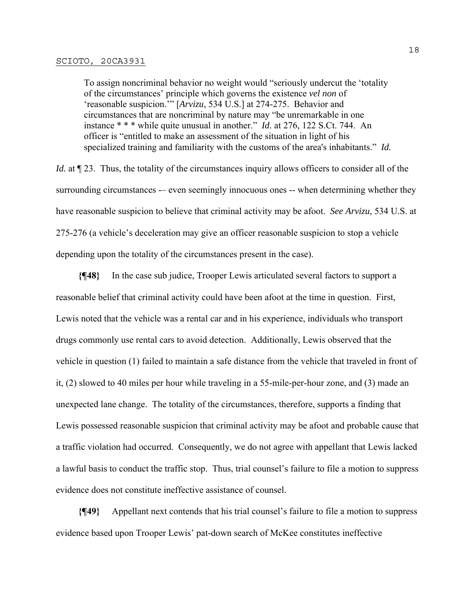To assign noncriminal behavior no weight would "seriously undercut the 'totality of the circumstances' principle which governs the existence *vel non* of 'reasonable suspicion.'" [*Arvizu*, 534 U.S.] at 274-275. Behavior and circumstances that are noncriminal by nature may "be unremarkable in one instance \* \* \* while quite unusual in another." *Id.* at 276, 122 S.Ct. 744. An officer is "entitled to make an assessment of the situation in light of his specialized training and familiarity with the customs of the area's inhabitants." *Id.*

*Id.* at  $\P$  23. Thus, the totality of the circumstances inquiry allows officers to consider all of the surrounding circumstances -– even seemingly innocuous ones -- when determining whether they have reasonable suspicion to believe that criminal activity may be afoot. *See Arvizu*, 534 U.S. at 275-276 (a vehicle's deceleration may give an officer reasonable suspicion to stop a vehicle depending upon the totality of the circumstances present in the case).

**{¶48}** In the case sub judice, Trooper Lewis articulated several factors to support a reasonable belief that criminal activity could have been afoot at the time in question. First, Lewis noted that the vehicle was a rental car and in his experience, individuals who transport drugs commonly use rental cars to avoid detection. Additionally, Lewis observed that the vehicle in question (1) failed to maintain a safe distance from the vehicle that traveled in front of it, (2) slowed to 40 miles per hour while traveling in a 55-mile-per-hour zone, and (3) made an unexpected lane change. The totality of the circumstances, therefore, supports a finding that Lewis possessed reasonable suspicion that criminal activity may be afoot and probable cause that a traffic violation had occurred. Consequently, we do not agree with appellant that Lewis lacked a lawful basis to conduct the traffic stop. Thus, trial counsel's failure to file a motion to suppress evidence does not constitute ineffective assistance of counsel.

**{¶49}** Appellant next contends that his trial counsel's failure to file a motion to suppress evidence based upon Trooper Lewis' pat-down search of McKee constitutes ineffective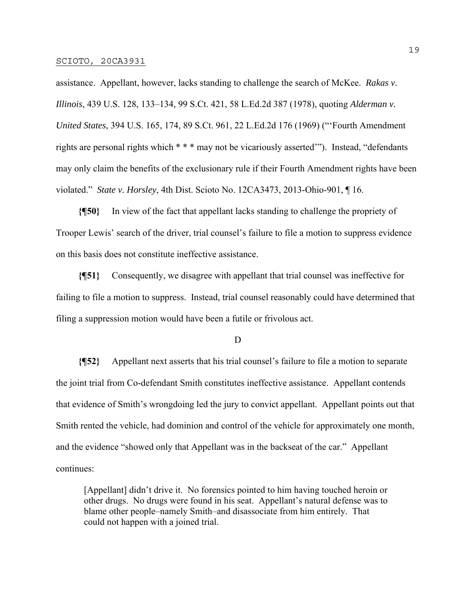assistance. Appellant, however, lacks standing to challenge the search of McKee. *Rakas v. Illinois*, 439 U.S. 128, 133–134, 99 S.Ct. 421, 58 L.Ed.2d 387 (1978), quoting *Alderman v. United States*, 394 U.S. 165, 174, 89 S.Ct. 961, 22 L.Ed.2d 176 (1969) ("'Fourth Amendment rights are personal rights which \* \* \* may not be vicariously asserted'"). Instead, "defendants may only claim the benefits of the exclusionary rule if their Fourth Amendment rights have been violated." *State v. Horsley*, 4th Dist. Scioto No. 12CA3473, 2013-Ohio-901, ¶ 16.

**{¶50}** In view of the fact that appellant lacks standing to challenge the propriety of Trooper Lewis' search of the driver, trial counsel's failure to file a motion to suppress evidence on this basis does not constitute ineffective assistance.

**{¶51}** Consequently, we disagree with appellant that trial counsel was ineffective for failing to file a motion to suppress. Instead, trial counsel reasonably could have determined that filing a suppression motion would have been a futile or frivolous act.

D

**{¶52}** Appellant next asserts that his trial counsel's failure to file a motion to separate the joint trial from Co-defendant Smith constitutes ineffective assistance. Appellant contends that evidence of Smith's wrongdoing led the jury to convict appellant. Appellant points out that Smith rented the vehicle, had dominion and control of the vehicle for approximately one month, and the evidence "showed only that Appellant was in the backseat of the car." Appellant continues:

[Appellant] didn't drive it. No forensics pointed to him having touched heroin or other drugs. No drugs were found in his seat. Appellant's natural defense was to blame other people–namely Smith–and disassociate from him entirely. That could not happen with a joined trial.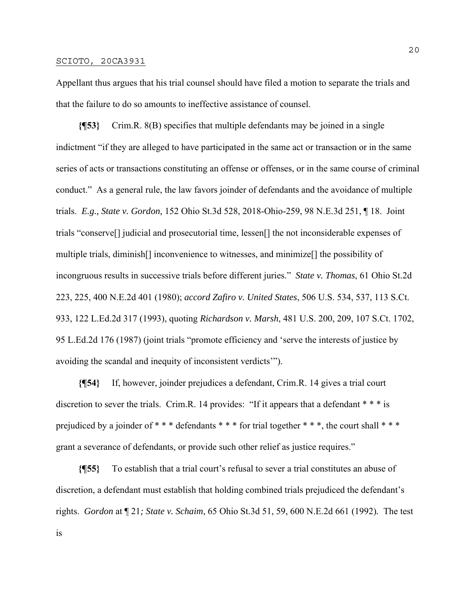Appellant thus argues that his trial counsel should have filed a motion to separate the trials and that the failure to do so amounts to ineffective assistance of counsel.

**{¶53}** Crim.R. 8(B) specifies that multiple defendants may be joined in a single indictment "if they are alleged to have participated in the same act or transaction or in the same series of acts or transactions constituting an offense or offenses, or in the same course of criminal conduct." As a general rule, the law favors joinder of defendants and the avoidance of multiple trials. *E.g., State v. Gordon,* 152 Ohio St.3d 528, 2018-Ohio-259, 98 N.E.3d 251, ¶ 18. Joint trials "conserve[] judicial and prosecutorial time, lessen[] the not inconsiderable expenses of multiple trials, diminish[] inconvenience to witnesses, and minimize[] the possibility of incongruous results in successive trials before different juries." *State v. Thomas*, 61 Ohio St.2d 223, 225, 400 N.E.2d 401 (1980); *accord Zafiro v. United States*, 506 U.S. 534, 537, 113 S.Ct. 933, 122 L.Ed.2d 317 (1993), quoting *Richardson v. Marsh*, 481 U.S. 200, 209, 107 S.Ct. 1702, 95 L.Ed.2d 176 (1987) (joint trials "promote efficiency and 'serve the interests of justice by avoiding the scandal and inequity of inconsistent verdicts'").

**{¶54}** If, however, joinder prejudices a defendant, Crim.R. 14 gives a trial court discretion to sever the trials. Crim.R. 14 provides: "If it appears that a defendant \* \* \* is prejudiced by a joinder of \*\*\* defendants \*\*\* for trial together \*\*\*, the court shall \*\*\* grant a severance of defendants, or provide such other relief as justice requires."

**{¶55}** To establish that a trial court's refusal to sever a trial constitutes an abuse of discretion, a defendant must establish that holding combined trials prejudiced the defendant's rights. *Gordon* at ¶ 21*; State v. Schaim*, 65 Ohio St.3d 51, 59, 600 N.E.2d 661 (1992)*.* The test is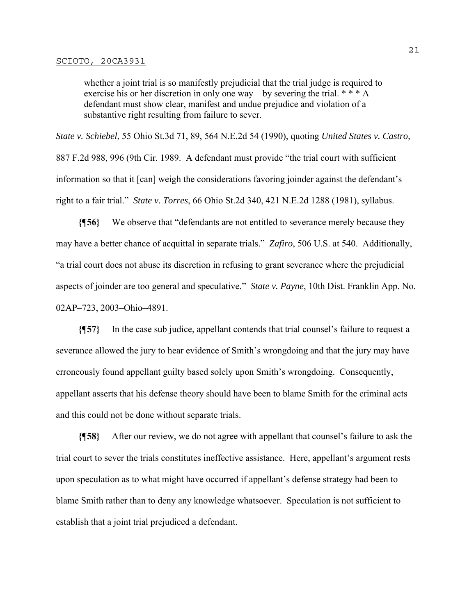whether a joint trial is so manifestly prejudicial that the trial judge is required to exercise his or her discretion in only one way—by severing the trial. \* \* \* A defendant must show clear, manifest and undue prejudice and violation of a substantive right resulting from failure to sever.

*State v. Schiebel*, 55 Ohio St.3d 71, 89, 564 N.E.2d 54 (1990), quoting *United States v. Castro*, 887 F.2d 988, 996 (9th Cir. 1989. A defendant must provide "the trial court with sufficient information so that it [can] weigh the considerations favoring joinder against the defendant's right to a fair trial." *State v. Torres*, 66 Ohio St.2d 340, 421 N.E.2d 1288 (1981), syllabus.

**{¶56}** We observe that "defendants are not entitled to severance merely because they may have a better chance of acquittal in separate trials." *Zafiro*, 506 U.S. at 540. Additionally, "a trial court does not abuse its discretion in refusing to grant severance where the prejudicial aspects of joinder are too general and speculative." *State v. Payne*, 10th Dist. Franklin App. No. 02AP–723, 2003–Ohio–4891.

**{¶57}** In the case sub judice, appellant contends that trial counsel's failure to request a severance allowed the jury to hear evidence of Smith's wrongdoing and that the jury may have erroneously found appellant guilty based solely upon Smith's wrongdoing. Consequently, appellant asserts that his defense theory should have been to blame Smith for the criminal acts and this could not be done without separate trials.

**{¶58}** After our review, we do not agree with appellant that counsel's failure to ask the trial court to sever the trials constitutes ineffective assistance. Here, appellant's argument rests upon speculation as to what might have occurred if appellant's defense strategy had been to blame Smith rather than to deny any knowledge whatsoever. Speculation is not sufficient to establish that a joint trial prejudiced a defendant.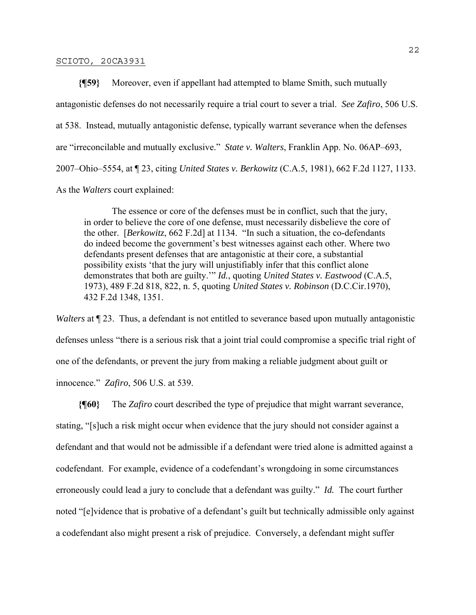**{¶59}** Moreover, even if appellant had attempted to blame Smith, such mutually antagonistic defenses do not necessarily require a trial court to sever a trial. *See Zafiro*, 506 U.S. at 538. Instead, mutually antagonistic defense, typically warrant severance when the defenses are "irreconcilable and mutually exclusive." *State v. Walters*, Franklin App. No. 06AP–693, 2007–Ohio–5554, at ¶ 23, citing *United States v. Berkowitz* (C.A.5, 1981), 662 F.2d 1127, 1133. As the *Walters* court explained:

 The essence or core of the defenses must be in conflict, such that the jury, in order to believe the core of one defense, must necessarily disbelieve the core of the other. [*Berkowitz*, 662 F.2d] at 1134. "In such a situation, the co-defendants do indeed become the government's best witnesses against each other. Where two defendants present defenses that are antagonistic at their core, a substantial possibility exists 'that the jury will unjustifiably infer that this conflict alone demonstrates that both are guilty.'" *Id.*, quoting *United States v. Eastwood* (C.A.5, 1973), 489 F.2d 818, 822, n. 5, quoting *United States v. Robinson* (D.C.Cir.1970), 432 F.2d 1348, 1351.

*Walters* at  $\P$  23. Thus, a defendant is not entitled to severance based upon mutually antagonistic defenses unless "there is a serious risk that a joint trial could compromise a specific trial right of one of the defendants, or prevent the jury from making a reliable judgment about guilt or innocence." *Zafiro*, 506 U.S. at 539.

**{¶60}** The *Zafiro* court described the type of prejudice that might warrant severance, stating, "[s]uch a risk might occur when evidence that the jury should not consider against a defendant and that would not be admissible if a defendant were tried alone is admitted against a codefendant. For example, evidence of a codefendant's wrongdoing in some circumstances erroneously could lead a jury to conclude that a defendant was guilty." *Id.* The court further noted "[e]vidence that is probative of a defendant's guilt but technically admissible only against a codefendant also might present a risk of prejudice. Conversely, a defendant might suffer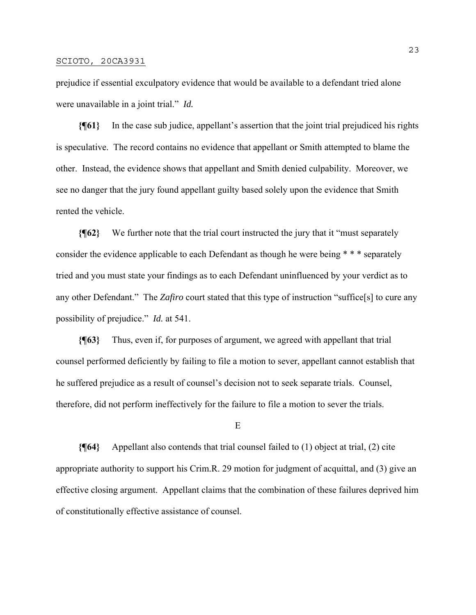prejudice if essential exculpatory evidence that would be available to a defendant tried alone were unavailable in a joint trial." *Id.*

**{¶61}** In the case sub judice, appellant's assertion that the joint trial prejudiced his rights is speculative. The record contains no evidence that appellant or Smith attempted to blame the other. Instead, the evidence shows that appellant and Smith denied culpability. Moreover, we see no danger that the jury found appellant guilty based solely upon the evidence that Smith rented the vehicle.

**{¶62}** We further note that the trial court instructed the jury that it "must separately consider the evidence applicable to each Defendant as though he were being \* \* \* separately tried and you must state your findings as to each Defendant uninfluenced by your verdict as to any other Defendant." The *Zafiro* court stated that this type of instruction "suffice[s] to cure any possibility of prejudice." *Id.* at 541.

**{¶63}** Thus, even if, for purposes of argument, we agreed with appellant that trial counsel performed deficiently by failing to file a motion to sever, appellant cannot establish that he suffered prejudice as a result of counsel's decision not to seek separate trials. Counsel, therefore, did not perform ineffectively for the failure to file a motion to sever the trials.

### E

**{¶64}** Appellant also contends that trial counsel failed to (1) object at trial, (2) cite appropriate authority to support his Crim.R. 29 motion for judgment of acquittal, and (3) give an effective closing argument. Appellant claims that the combination of these failures deprived him of constitutionally effective assistance of counsel.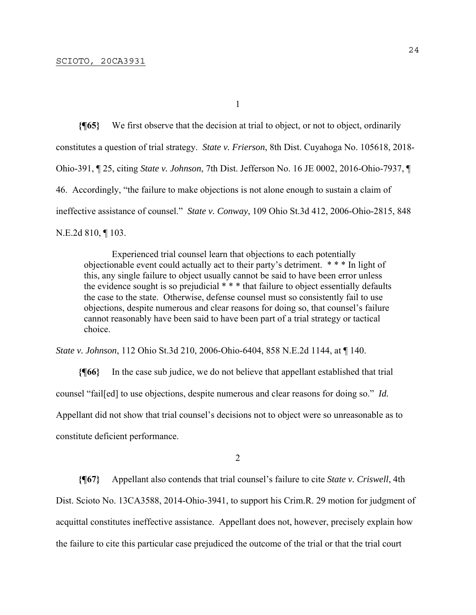1

**{¶65}** We first observe that the decision at trial to object, or not to object, ordinarily constitutes a question of trial strategy. *State v. Frierson*, 8th Dist. Cuyahoga No. 105618, 2018- Ohio-391, ¶ 25, citing *State v. Johnson*, 7th Dist. Jefferson No. 16 JE 0002, 2016-Ohio-7937, ¶ 46. Accordingly, "the failure to make objections is not alone enough to sustain a claim of ineffective assistance of counsel." *State v. Conway*, 109 Ohio St.3d 412, 2006-Ohio-2815, 848 N.E.2d 810, ¶ 103.

 Experienced trial counsel learn that objections to each potentially objectionable event could actually act to their party's detriment. \* \* \* In light of this, any single failure to object usually cannot be said to have been error unless the evidence sought is so prejudicial \* \* \* that failure to object essentially defaults the case to the state. Otherwise, defense counsel must so consistently fail to use objections, despite numerous and clear reasons for doing so, that counsel's failure cannot reasonably have been said to have been part of a trial strategy or tactical choice.

*State v. Johnson*, 112 Ohio St.3d 210, 2006-Ohio-6404, 858 N.E.2d 1144, at ¶ 140.

**{¶66}** In the case sub judice, we do not believe that appellant established that trial counsel "fail[ed] to use objections, despite numerous and clear reasons for doing so." *Id.* Appellant did not show that trial counsel's decisions not to object were so unreasonable as to constitute deficient performance.

 $\overline{2}$ 

**{¶67}** Appellant also contends that trial counsel's failure to cite *State v. Criswell*, 4th Dist. Scioto No. 13CA3588, 2014-Ohio-3941, to support his Crim.R. 29 motion for judgment of acquittal constitutes ineffective assistance. Appellant does not, however, precisely explain how the failure to cite this particular case prejudiced the outcome of the trial or that the trial court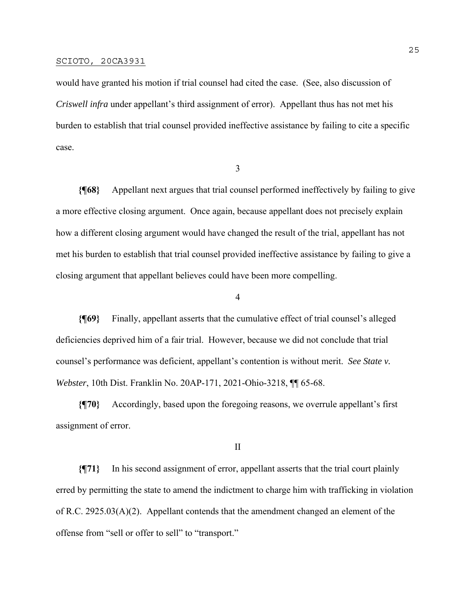would have granted his motion if trial counsel had cited the case. (See, also discussion of *Criswell infra* under appellant's third assignment of error). Appellant thus has not met his burden to establish that trial counsel provided ineffective assistance by failing to cite a specific case.

3

**{¶68}** Appellant next argues that trial counsel performed ineffectively by failing to give a more effective closing argument. Once again, because appellant does not precisely explain how a different closing argument would have changed the result of the trial, appellant has not met his burden to establish that trial counsel provided ineffective assistance by failing to give a closing argument that appellant believes could have been more compelling.

4

**{¶69}** Finally, appellant asserts that the cumulative effect of trial counsel's alleged deficiencies deprived him of a fair trial. However, because we did not conclude that trial counsel's performance was deficient, appellant's contention is without merit. *See State v. Webster*, 10th Dist. Franklin No. 20AP-171, 2021-Ohio-3218, ¶¶ 65-68.

**{¶70}** Accordingly, based upon the foregoing reasons, we overrule appellant's first assignment of error.

II

**{¶71}** In his second assignment of error, appellant asserts that the trial court plainly erred by permitting the state to amend the indictment to charge him with trafficking in violation of R.C. 2925.03(A)(2). Appellant contends that the amendment changed an element of the offense from "sell or offer to sell" to "transport."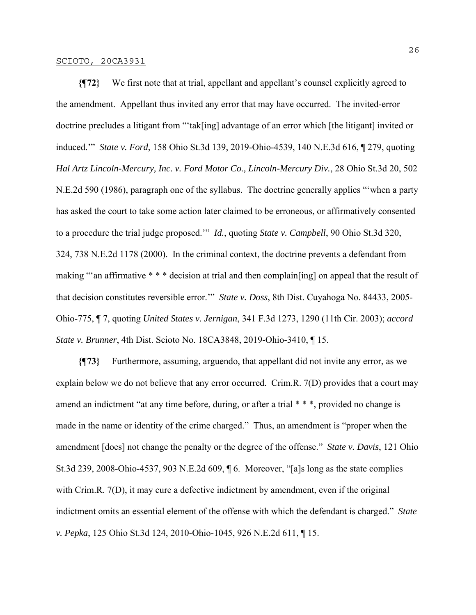**{¶72}** We first note that at trial, appellant and appellant's counsel explicitly agreed to the amendment. Appellant thus invited any error that may have occurred. The invited-error doctrine precludes a litigant from "'tak[ing] advantage of an error which [the litigant] invited or induced.'" *State v. Ford*, 158 Ohio St.3d 139, 2019-Ohio-4539, 140 N.E.3d 616, ¶ 279, quoting *Hal Artz Lincoln-Mercury, Inc. v. Ford Motor Co., Lincoln-Mercury Div.*, 28 Ohio St.3d 20, 502 N.E.2d 590 (1986), paragraph one of the syllabus. The doctrine generally applies "'when a party has asked the court to take some action later claimed to be erroneous, or affirmatively consented to a procedure the trial judge proposed.'" *Id.*, quoting *State v. Campbell*, 90 Ohio St.3d 320, 324, 738 N.E.2d 1178 (2000). In the criminal context, the doctrine prevents a defendant from making "'an affirmative \* \* \* decision at trial and then complain[ing] on appeal that the result of that decision constitutes reversible error.'" *State v. Doss*, 8th Dist. Cuyahoga No. 84433, 2005- Ohio-775, ¶ 7, quoting *United States v. Jernigan*, 341 F.3d 1273, 1290 (11th Cir. 2003); *accord State v. Brunner*, 4th Dist. Scioto No. 18CA3848, 2019-Ohio-3410, ¶ 15.

**{¶73}** Furthermore, assuming, arguendo, that appellant did not invite any error, as we explain below we do not believe that any error occurred. Crim.R. 7(D) provides that a court may amend an indictment "at any time before, during, or after a trial \* \* \*, provided no change is made in the name or identity of the crime charged." Thus, an amendment is "proper when the amendment [does] not change the penalty or the degree of the offense." *State v. Davis*, 121 Ohio St.3d 239, 2008-Ohio-4537, 903 N.E.2d 609, ¶ 6. Moreover, "[a]s long as the state complies with Crim.R. 7(D), it may cure a defective indictment by amendment, even if the original indictment omits an essential element of the offense with which the defendant is charged." *State v. Pepka*, 125 Ohio St.3d 124, 2010-Ohio-1045, 926 N.E.2d 611, ¶ 15.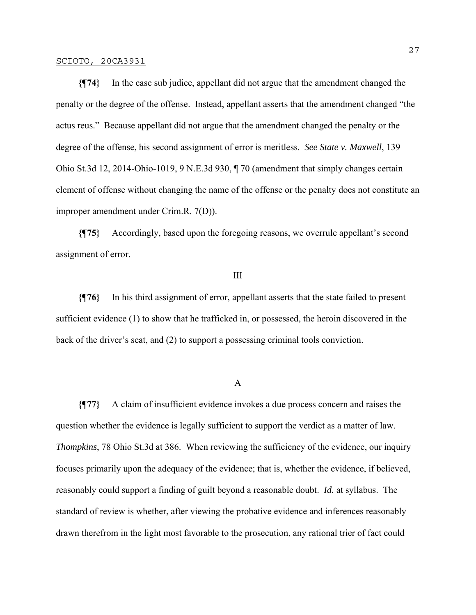**{¶74}** In the case sub judice, appellant did not argue that the amendment changed the penalty or the degree of the offense. Instead, appellant asserts that the amendment changed "the actus reus." Because appellant did not argue that the amendment changed the penalty or the degree of the offense, his second assignment of error is meritless. *See State v. Maxwell*, 139 Ohio St.3d 12, 2014-Ohio-1019, 9 N.E.3d 930, ¶ 70 (amendment that simply changes certain element of offense without changing the name of the offense or the penalty does not constitute an improper amendment under Crim.R. 7(D)).

**{¶75}** Accordingly, based upon the foregoing reasons, we overrule appellant's second assignment of error.

### III

**{¶76}** In his third assignment of error, appellant asserts that the state failed to present sufficient evidence (1) to show that he trafficked in, or possessed, the heroin discovered in the back of the driver's seat, and (2) to support a possessing criminal tools conviction.

### A

**{¶77}** A claim of insufficient evidence invokes a due process concern and raises the question whether the evidence is legally sufficient to support the verdict as a matter of law. *Thompkins*, 78 Ohio St.3d at 386. When reviewing the sufficiency of the evidence, our inquiry focuses primarily upon the adequacy of the evidence; that is, whether the evidence, if believed, reasonably could support a finding of guilt beyond a reasonable doubt. *Id.* at syllabus. The standard of review is whether, after viewing the probative evidence and inferences reasonably drawn therefrom in the light most favorable to the prosecution, any rational trier of fact could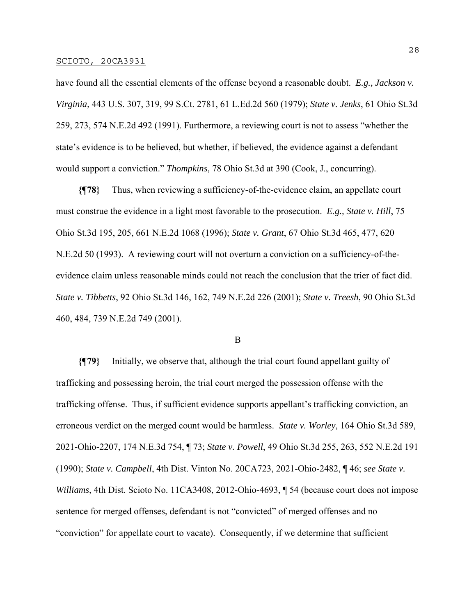have found all the essential elements of the offense beyond a reasonable doubt. *E.g., Jackson v. Virginia*, 443 U.S. 307, 319, 99 S.Ct. 2781, 61 L.Ed.2d 560 (1979); *State v. Jenks*, 61 Ohio St.3d 259, 273, 574 N.E.2d 492 (1991). Furthermore, a reviewing court is not to assess "whether the state's evidence is to be believed, but whether, if believed, the evidence against a defendant would support a conviction." *Thompkins*, 78 Ohio St.3d at 390 (Cook, J., concurring).

**{¶78}** Thus, when reviewing a sufficiency-of-the-evidence claim, an appellate court must construe the evidence in a light most favorable to the prosecution. *E.g., State v. Hill*, 75 Ohio St.3d 195, 205, 661 N.E.2d 1068 (1996); *State v. Grant*, 67 Ohio St.3d 465, 477, 620 N.E.2d 50 (1993). A reviewing court will not overturn a conviction on a sufficiency-of-theevidence claim unless reasonable minds could not reach the conclusion that the trier of fact did. *State v. Tibbetts*, 92 Ohio St.3d 146, 162, 749 N.E.2d 226 (2001); *State v. Treesh*, 90 Ohio St.3d 460, 484, 739 N.E.2d 749 (2001).

### B

**{¶79}** Initially, we observe that, although the trial court found appellant guilty of trafficking and possessing heroin, the trial court merged the possession offense with the trafficking offense. Thus, if sufficient evidence supports appellant's trafficking conviction, an erroneous verdict on the merged count would be harmless. *State v. Worley*, 164 Ohio St.3d 589, 2021-Ohio-2207, 174 N.E.3d 754, ¶ 73; *State v. Powell*, 49 Ohio St.3d 255, 263, 552 N.E.2d 191 (1990); *State v. Campbell*, 4th Dist. Vinton No. 20CA723, 2021-Ohio-2482, ¶ 46; *see State v. Williams*, 4th Dist. Scioto No. 11CA3408, 2012-Ohio-4693, ¶ 54 (because court does not impose sentence for merged offenses, defendant is not "convicted" of merged offenses and no "conviction" for appellate court to vacate). Consequently, if we determine that sufficient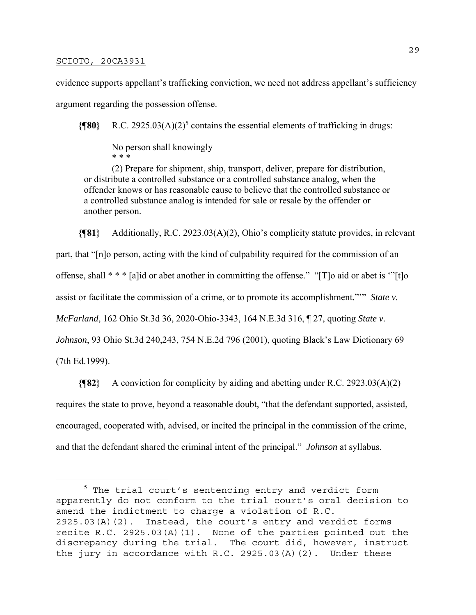evidence supports appellant's trafficking conviction, we need not address appellant's sufficiency argument regarding the possession offense.

**{[80}** R.C. 2925.03(A)(2)<sup>5</sup> contains the essential elements of trafficking in drugs:

 No person shall knowingly \* \* \*

 (2) Prepare for shipment, ship, transport, deliver, prepare for distribution, or distribute a controlled substance or a controlled substance analog, when the offender knows or has reasonable cause to believe that the controlled substance or a controlled substance analog is intended for sale or resale by the offender or another person.

**{¶81}** Additionally, R.C. 2923.03(A)(2), Ohio's complicity statute provides, in relevant part, that "[n]o person, acting with the kind of culpability required for the commission of an offense, shall \* \* \* [a]id or abet another in committing the offense." "[T]o aid or abet is '"[t]o assist or facilitate the commission of a crime, or to promote its accomplishment."'" *State v. McFarland*, 162 Ohio St.3d 36, 2020-Ohio-3343, 164 N.E.3d 316, ¶ 27, quoting *State v. Johnson*, 93 Ohio St.3d 240,243, 754 N.E.2d 796 (2001), quoting Black's Law Dictionary 69 (7th Ed.1999).

**{¶82}** A conviction for complicity by aiding and abetting under R.C. 2923.03(A)(2) requires the state to prove, beyond a reasonable doubt, "that the defendant supported, assisted, encouraged, cooperated with, advised, or incited the principal in the commission of the crime, and that the defendant shared the criminal intent of the principal." *Johnson* at syllabus.

 $^5$  The trial court's sentencing entry and verdict form apparently do not conform to the trial court's oral decision to amend the indictment to charge a violation of R.C. 2925.03(A)(2). Instead, the court's entry and verdict forms recite R.C. 2925.03(A)(1). None of the parties pointed out the discrepancy during the trial. The court did, however, instruct the jury in accordance with R.C. 2925.03(A)(2). Under these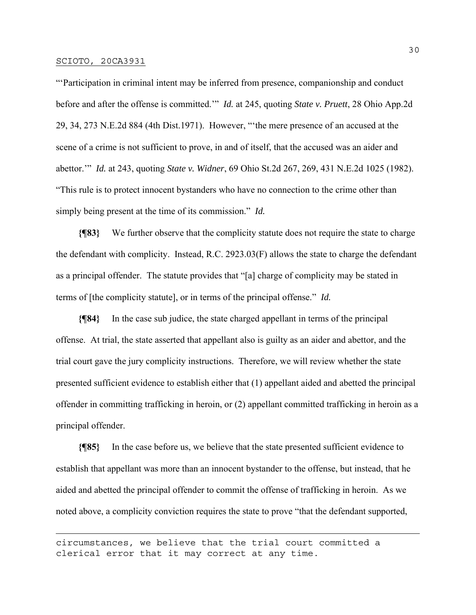"'Participation in criminal intent may be inferred from presence, companionship and conduct before and after the offense is committed.'" *Id.* at 245, quoting *State v. Pruett*, 28 Ohio App.2d 29, 34, 273 N.E.2d 884 (4th Dist.1971). However, "'the mere presence of an accused at the scene of a crime is not sufficient to prove, in and of itself, that the accused was an aider and abettor.'" *Id.* at 243, quoting *State v. Widner*, 69 Ohio St.2d 267, 269, 431 N.E.2d 1025 (1982). "This rule is to protect innocent bystanders who have no connection to the crime other than simply being present at the time of its commission." *Id.*

**{¶83}** We further observe that the complicity statute does not require the state to charge the defendant with complicity. Instead, R.C. 2923.03(F) allows the state to charge the defendant as a principal offender. The statute provides that "[a] charge of complicity may be stated in terms of [the complicity statute], or in terms of the principal offense." *Id.*

**{¶84}** In the case sub judice, the state charged appellant in terms of the principal offense. At trial, the state asserted that appellant also is guilty as an aider and abettor, and the trial court gave the jury complicity instructions. Therefore, we will review whether the state presented sufficient evidence to establish either that (1) appellant aided and abetted the principal offender in committing trafficking in heroin, or (2) appellant committed trafficking in heroin as a principal offender.

**{¶85}** In the case before us, we believe that the state presented sufficient evidence to establish that appellant was more than an innocent bystander to the offense, but instead, that he aided and abetted the principal offender to commit the offense of trafficking in heroin. As we noted above, a complicity conviction requires the state to prove "that the defendant supported,

circumstances, we believe that the trial court committed a clerical error that it may correct at any time.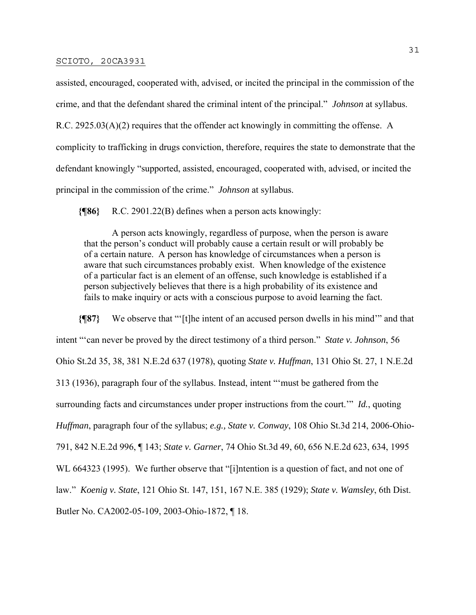assisted, encouraged, cooperated with, advised, or incited the principal in the commission of the crime, and that the defendant shared the criminal intent of the principal." *Johnson* at syllabus. R.C. 2925.03(A)(2) requires that the offender act knowingly in committing the offense. A complicity to trafficking in drugs conviction, therefore, requires the state to demonstrate that the defendant knowingly "supported, assisted, encouraged, cooperated with, advised, or incited the principal in the commission of the crime." *Johnson* at syllabus.

**{¶86}** R.C. 2901.22(B) defines when a person acts knowingly:

 A person acts knowingly, regardless of purpose, when the person is aware that the person's conduct will probably cause a certain result or will probably be of a certain nature. A person has knowledge of circumstances when a person is aware that such circumstances probably exist. When knowledge of the existence of a particular fact is an element of an offense, such knowledge is established if a person subjectively believes that there is a high probability of its existence and fails to make inquiry or acts with a conscious purpose to avoid learning the fact.

**{¶87}** We observe that "'[t]he intent of an accused person dwells in his mind'" and that intent "'can never be proved by the direct testimony of a third person." *State v. Johnson*, 56 Ohio St.2d 35, 38, 381 N.E.2d 637 (1978), quoting *State v. Huffman*, 131 Ohio St. 27, 1 N.E.2d 313 (1936), paragraph four of the syllabus. Instead, intent "'must be gathered from the surrounding facts and circumstances under proper instructions from the court.'" *Id.*, quoting *Huffman*, paragraph four of the syllabus; *e.g., State v. Conway*, 108 Ohio St.3d 214, 2006-Ohio-791, 842 N.E.2d 996, ¶ 143; *State v. Garner*, 74 Ohio St.3d 49, 60, 656 N.E.2d 623, 634, 1995 WL 664323 (1995). We further observe that "[i]ntention is a question of fact, and not one of law." *Koenig v. State*, 121 Ohio St. 147, 151, 167 N.E. 385 (1929); *State v. Wamsley*, 6th Dist. Butler No. CA2002-05-109, 2003-Ohio-1872, ¶ 18.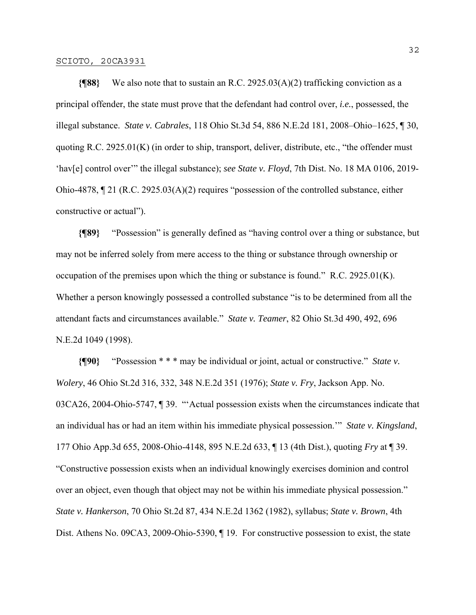**{¶88}** We also note that to sustain an R.C. 2925.03(A)(2) trafficking conviction as a principal offender, the state must prove that the defendant had control over, *i.e.*, possessed, the illegal substance. *State v. Cabrales*, 118 Ohio St.3d 54, 886 N.E.2d 181, 2008–Ohio–1625, ¶ 30, quoting R.C. 2925.01(K) (in order to ship, transport, deliver, distribute, etc., "the offender must 'hav[e] control over'" the illegal substance); *see State v. Floyd*, 7th Dist. No. 18 MA 0106, 2019- Ohio-4878, ¶ 21 (R.C. 2925.03(A)(2) requires "possession of the controlled substance, either constructive or actual").

**{¶89}** "Possession" is generally defined as "having control over a thing or substance, but may not be inferred solely from mere access to the thing or substance through ownership or occupation of the premises upon which the thing or substance is found." R.C.  $2925.01(K)$ . Whether a person knowingly possessed a controlled substance "is to be determined from all the attendant facts and circumstances available." *State v. Teamer*, 82 Ohio St.3d 490, 492, 696 N.E.2d 1049 (1998).

**{¶90}** "Possession \* \* \* may be individual or joint, actual or constructive." *State v. Wolery*, 46 Ohio St.2d 316, 332, 348 N.E.2d 351 (1976); *State v. Fry*, Jackson App. No. 03CA26, 2004-Ohio-5747, ¶ 39. "'Actual possession exists when the circumstances indicate that an individual has or had an item within his immediate physical possession.'" *State v. Kingsland*, 177 Ohio App.3d 655, 2008-Ohio-4148, 895 N.E.2d 633, ¶ 13 (4th Dist.), quoting *Fry* at ¶ 39. "Constructive possession exists when an individual knowingly exercises dominion and control over an object, even though that object may not be within his immediate physical possession." *State v. Hankerson*, 70 Ohio St.2d 87, 434 N.E.2d 1362 (1982), syllabus; *State v. Brown*, 4th Dist. Athens No. 09CA3, 2009-Ohio-5390, ¶ 19. For constructive possession to exist, the state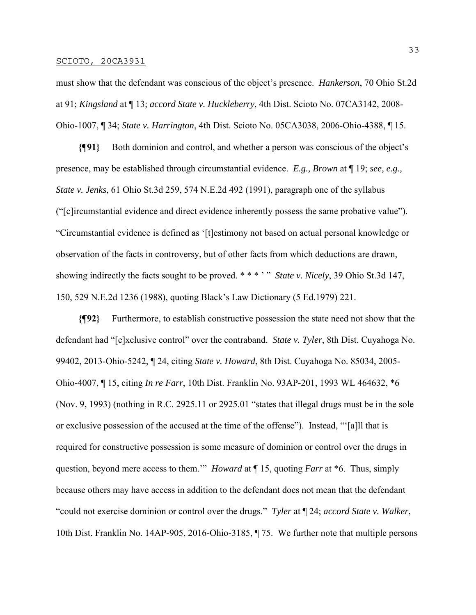must show that the defendant was conscious of the object's presence. *Hankerson*, 70 Ohio St.2d at 91; *Kingsland* at ¶ 13; *accord State v. Huckleberry*, 4th Dist. Scioto No. 07CA3142, 2008- Ohio-1007, ¶ 34; *State v. Harrington*, 4th Dist. Scioto No. 05CA3038, 2006-Ohio-4388, ¶ 15.

**{¶91}** Both dominion and control, and whether a person was conscious of the object's presence, may be established through circumstantial evidence. *E.g., Brown* at ¶ 19; *see, e.g., State v. Jenks*, 61 Ohio St.3d 259, 574 N.E.2d 492 (1991), paragraph one of the syllabus ("[c]ircumstantial evidence and direct evidence inherently possess the same probative value"). "Circumstantial evidence is defined as '[t]estimony not based on actual personal knowledge or observation of the facts in controversy, but of other facts from which deductions are drawn, showing indirectly the facts sought to be proved. \* \* \* ' " *State v. Nicely*, 39 Ohio St.3d 147, 150, 529 N.E.2d 1236 (1988), quoting Black's Law Dictionary (5 Ed.1979) 221.

**{¶92}** Furthermore, to establish constructive possession the state need not show that the defendant had "[e]xclusive control" over the contraband. *State v. Tyler*, 8th Dist. Cuyahoga No. 99402, 2013-Ohio-5242, ¶ 24, citing *State v. Howard*, 8th Dist. Cuyahoga No. 85034, 2005- Ohio-4007, ¶ 15, citing *In re Farr*, 10th Dist. Franklin No. 93AP-201, 1993 WL 464632, \*6 (Nov. 9, 1993) (nothing in R.C. 2925.11 or 2925.01 "states that illegal drugs must be in the sole or exclusive possession of the accused at the time of the offense"). Instead, "'[a]ll that is required for constructive possession is some measure of dominion or control over the drugs in question, beyond mere access to them.'" *Howard* at ¶ 15, quoting *Farr* at \*6. Thus, simply because others may have access in addition to the defendant does not mean that the defendant "could not exercise dominion or control over the drugs." *Tyler* at ¶ 24; *accord State v. Walker*, 10th Dist. Franklin No. 14AP-905, 2016-Ohio-3185, ¶ 75. We further note that multiple persons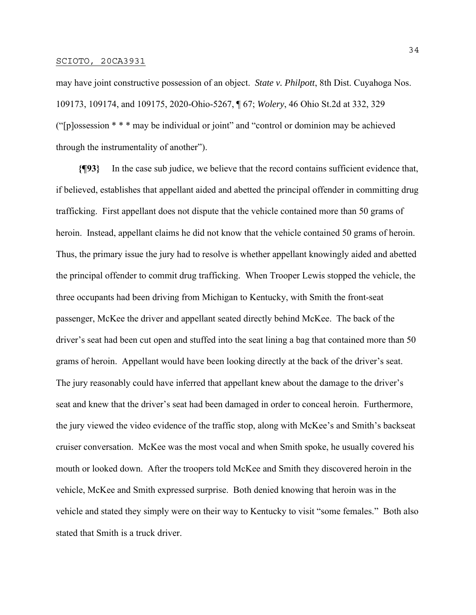may have joint constructive possession of an object. *State v. Philpott*, 8th Dist. Cuyahoga Nos. 109173, 109174, and 109175, 2020-Ohio-5267, ¶ 67; *Wolery*, 46 Ohio St.2d at 332, 329 ("[p]ossession \* \* \* may be individual or joint" and "control or dominion may be achieved through the instrumentality of another").

**{¶93}** In the case sub judice, we believe that the record contains sufficient evidence that, if believed, establishes that appellant aided and abetted the principal offender in committing drug trafficking. First appellant does not dispute that the vehicle contained more than 50 grams of heroin. Instead, appellant claims he did not know that the vehicle contained 50 grams of heroin. Thus, the primary issue the jury had to resolve is whether appellant knowingly aided and abetted the principal offender to commit drug trafficking. When Trooper Lewis stopped the vehicle, the three occupants had been driving from Michigan to Kentucky, with Smith the front-seat passenger, McKee the driver and appellant seated directly behind McKee. The back of the driver's seat had been cut open and stuffed into the seat lining a bag that contained more than 50 grams of heroin. Appellant would have been looking directly at the back of the driver's seat. The jury reasonably could have inferred that appellant knew about the damage to the driver's seat and knew that the driver's seat had been damaged in order to conceal heroin. Furthermore, the jury viewed the video evidence of the traffic stop, along with McKee's and Smith's backseat cruiser conversation. McKee was the most vocal and when Smith spoke, he usually covered his mouth or looked down. After the troopers told McKee and Smith they discovered heroin in the vehicle, McKee and Smith expressed surprise. Both denied knowing that heroin was in the vehicle and stated they simply were on their way to Kentucky to visit "some females." Both also stated that Smith is a truck driver.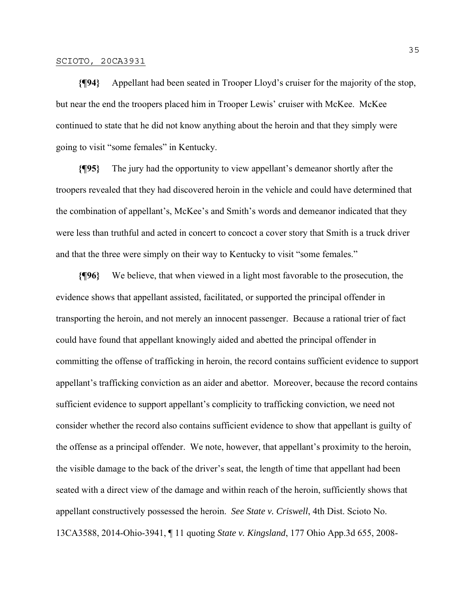**{¶94}** Appellant had been seated in Trooper Lloyd's cruiser for the majority of the stop, but near the end the troopers placed him in Trooper Lewis' cruiser with McKee. McKee continued to state that he did not know anything about the heroin and that they simply were going to visit "some females" in Kentucky.

**{¶95}** The jury had the opportunity to view appellant's demeanor shortly after the troopers revealed that they had discovered heroin in the vehicle and could have determined that the combination of appellant's, McKee's and Smith's words and demeanor indicated that they were less than truthful and acted in concert to concoct a cover story that Smith is a truck driver and that the three were simply on their way to Kentucky to visit "some females."

**{¶96}** We believe, that when viewed in a light most favorable to the prosecution, the evidence shows that appellant assisted, facilitated, or supported the principal offender in transporting the heroin, and not merely an innocent passenger. Because a rational trier of fact could have found that appellant knowingly aided and abetted the principal offender in committing the offense of trafficking in heroin, the record contains sufficient evidence to support appellant's trafficking conviction as an aider and abettor. Moreover, because the record contains sufficient evidence to support appellant's complicity to trafficking conviction, we need not consider whether the record also contains sufficient evidence to show that appellant is guilty of the offense as a principal offender. We note, however, that appellant's proximity to the heroin, the visible damage to the back of the driver's seat, the length of time that appellant had been seated with a direct view of the damage and within reach of the heroin, sufficiently shows that appellant constructively possessed the heroin. *See State v. Criswell*, 4th Dist. Scioto No. 13CA3588, 2014-Ohio-3941, ¶ 11 quoting *State v. Kingsland*, 177 Ohio App.3d 655, 2008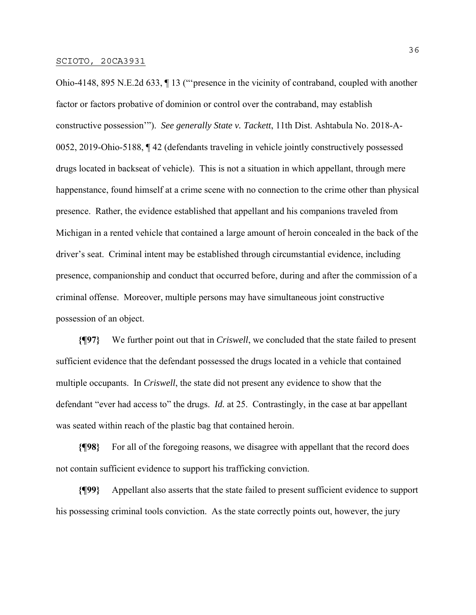Ohio-4148, 895 N.E.2d 633, ¶ 13 ("'presence in the vicinity of contraband, coupled with another factor or factors probative of dominion or control over the contraband, may establish constructive possession'"). *See generally State v. Tackett*, 11th Dist. Ashtabula No. 2018-A-0052, 2019-Ohio-5188, ¶ 42 (defendants traveling in vehicle jointly constructively possessed drugs located in backseat of vehicle). This is not a situation in which appellant, through mere happenstance, found himself at a crime scene with no connection to the crime other than physical presence. Rather, the evidence established that appellant and his companions traveled from Michigan in a rented vehicle that contained a large amount of heroin concealed in the back of the driver's seat. Criminal intent may be established through circumstantial evidence, including presence, companionship and conduct that occurred before, during and after the commission of a criminal offense. Moreover, multiple persons may have simultaneous joint constructive possession of an object.

**{¶97}** We further point out that in *Criswell*, we concluded that the state failed to present sufficient evidence that the defendant possessed the drugs located in a vehicle that contained multiple occupants. In *Criswell*, the state did not present any evidence to show that the defendant "ever had access to" the drugs. *Id.* at 25. Contrastingly, in the case at bar appellant was seated within reach of the plastic bag that contained heroin.

**{¶98}** For all of the foregoing reasons, we disagree with appellant that the record does not contain sufficient evidence to support his trafficking conviction.

**{¶99}** Appellant also asserts that the state failed to present sufficient evidence to support his possessing criminal tools conviction. As the state correctly points out, however, the jury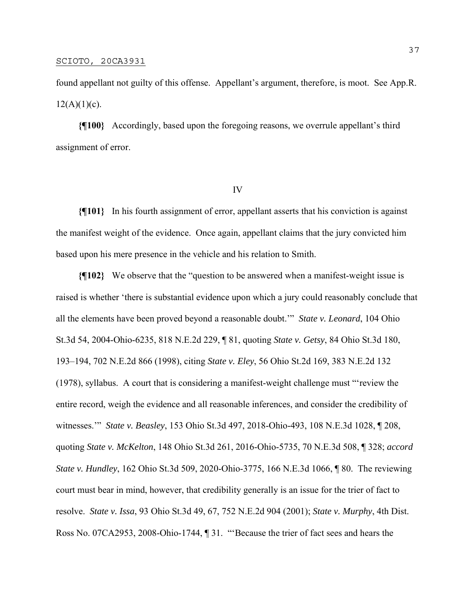found appellant not guilty of this offense. Appellant's argument, therefore, is moot. See App.R.  $12(A)(1)(c)$ .

**{¶100}** Accordingly, based upon the foregoing reasons, we overrule appellant's third assignment of error.

### IV

**{¶101}** In his fourth assignment of error, appellant asserts that his conviction is against the manifest weight of the evidence. Once again, appellant claims that the jury convicted him based upon his mere presence in the vehicle and his relation to Smith.

**{¶102}** We observe that the "question to be answered when a manifest-weight issue is raised is whether 'there is substantial evidence upon which a jury could reasonably conclude that all the elements have been proved beyond a reasonable doubt.'" *State v. Leonard*, 104 Ohio St.3d 54, 2004-Ohio-6235, 818 N.E.2d 229, ¶ 81, quoting *State v. Getsy*, 84 Ohio St.3d 180, 193–194, 702 N.E.2d 866 (1998), citing *State v. Eley*, 56 Ohio St.2d 169, 383 N.E.2d 132 (1978), syllabus. A court that is considering a manifest-weight challenge must "'review the entire record, weigh the evidence and all reasonable inferences, and consider the credibility of witnesses.'" *State v. Beasley*, 153 Ohio St.3d 497, 2018-Ohio-493, 108 N.E.3d 1028, ¶ 208, quoting *State v. McKelton*, 148 Ohio St.3d 261, 2016-Ohio-5735, 70 N.E.3d 508, ¶ 328; *accord State v. Hundley*, 162 Ohio St.3d 509, 2020-Ohio-3775, 166 N.E.3d 1066, ¶ 80. The reviewing court must bear in mind, however, that credibility generally is an issue for the trier of fact to resolve. *State v. Issa*, 93 Ohio St.3d 49, 67, 752 N.E.2d 904 (2001); *State v. Murphy*, 4th Dist. Ross No. 07CA2953, 2008-Ohio-1744, ¶ 31. "'Because the trier of fact sees and hears the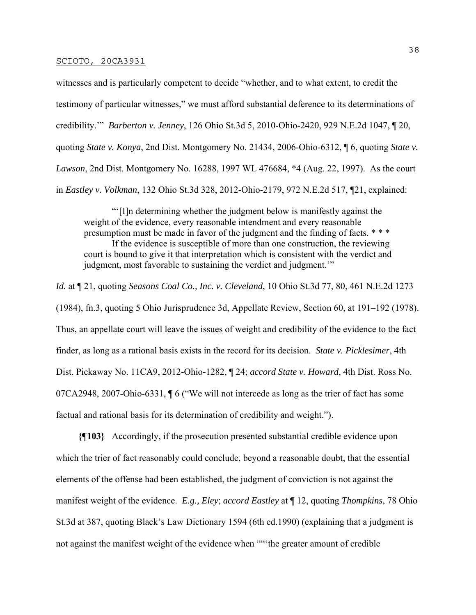witnesses and is particularly competent to decide "whether, and to what extent, to credit the testimony of particular witnesses," we must afford substantial deference to its determinations of credibility.'" *Barberton v. Jenney*, 126 Ohio St.3d 5, 2010-Ohio-2420, 929 N.E.2d 1047, ¶ 20, quoting *State v. Konya*, 2nd Dist. Montgomery No. 21434, 2006-Ohio-6312, ¶ 6, quoting *State v. Lawson*, 2nd Dist. Montgomery No. 16288, 1997 WL 476684, \*4 (Aug. 22, 1997). As the court in *Eastley v. Volkman*, 132 Ohio St.3d 328, 2012-Ohio-2179, 972 N.E.2d 517, ¶21, explained:

 "'[I]n determining whether the judgment below is manifestly against the weight of the evidence, every reasonable intendment and every reasonable presumption must be made in favor of the judgment and the finding of facts. \* \* \* If the evidence is susceptible of more than one construction, the reviewing court is bound to give it that interpretation which is consistent with the verdict and judgment, most favorable to sustaining the verdict and judgment."

*Id.* at ¶ 21, quoting *Seasons Coal Co., Inc. v. Cleveland*, 10 Ohio St.3d 77, 80, 461 N.E.2d 1273 (1984), fn.3, quoting 5 Ohio Jurisprudence 3d, Appellate Review, Section 60, at 191–192 (1978). Thus, an appellate court will leave the issues of weight and credibility of the evidence to the fact finder, as long as a rational basis exists in the record for its decision. *State v. Picklesimer*, 4th Dist. Pickaway No. 11CA9, 2012-Ohio-1282, ¶ 24; *accord State v. Howard*, 4th Dist. Ross No. 07CA2948, 2007-Ohio-6331, ¶ 6 ("We will not intercede as long as the trier of fact has some factual and rational basis for its determination of credibility and weight.").

**{¶103}** Accordingly, if the prosecution presented substantial credible evidence upon which the trier of fact reasonably could conclude, beyond a reasonable doubt, that the essential elements of the offense had been established, the judgment of conviction is not against the manifest weight of the evidence. *E.g., Eley*; *accord Eastley* at ¶ 12, quoting *Thompkins*, 78 Ohio St.3d at 387, quoting Black's Law Dictionary 1594 (6th ed.1990) (explaining that a judgment is not against the manifest weight of the evidence when ""'the greater amount of credible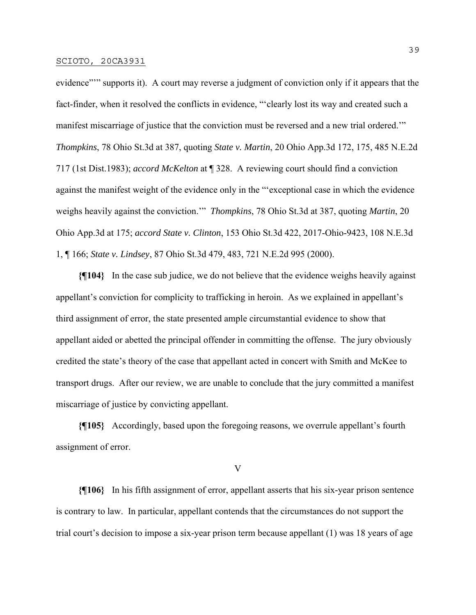evidence"" supports it). A court may reverse a judgment of conviction only if it appears that the fact-finder, when it resolved the conflicts in evidence, "'clearly lost its way and created such a manifest miscarriage of justice that the conviction must be reversed and a new trial ordered.'" *Thompkins*, 78 Ohio St.3d at 387, quoting *State v. Martin*, 20 Ohio App.3d 172, 175, 485 N.E.2d 717 (1st Dist.1983); *accord McKelton* at ¶ 328. A reviewing court should find a conviction against the manifest weight of the evidence only in the "'exceptional case in which the evidence weighs heavily against the conviction.'" *Thompkins*, 78 Ohio St.3d at 387, quoting *Martin*, 20 Ohio App.3d at 175; *accord State v. Clinton*, 153 Ohio St.3d 422, 2017-Ohio-9423, 108 N.E.3d 1, ¶ 166; *State v. Lindsey*, 87 Ohio St.3d 479, 483, 721 N.E.2d 995 (2000).

**{¶104}** In the case sub judice, we do not believe that the evidence weighs heavily against appellant's conviction for complicity to trafficking in heroin. As we explained in appellant's third assignment of error, the state presented ample circumstantial evidence to show that appellant aided or abetted the principal offender in committing the offense. The jury obviously credited the state's theory of the case that appellant acted in concert with Smith and McKee to transport drugs. After our review, we are unable to conclude that the jury committed a manifest miscarriage of justice by convicting appellant.

**{¶105}** Accordingly, based upon the foregoing reasons, we overrule appellant's fourth assignment of error.

V

**{¶106}** In his fifth assignment of error, appellant asserts that his six-year prison sentence is contrary to law. In particular, appellant contends that the circumstances do not support the trial court's decision to impose a six-year prison term because appellant (1) was 18 years of age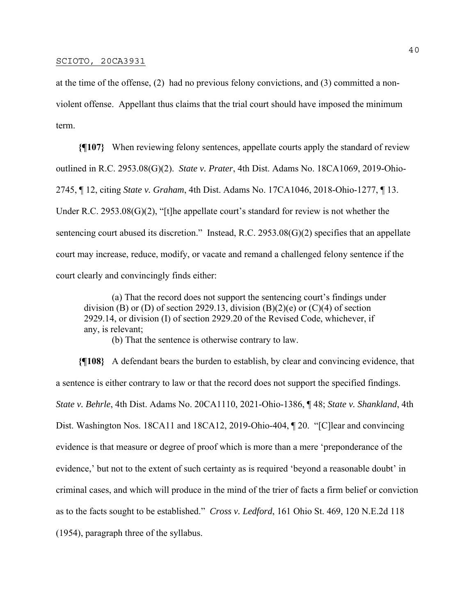at the time of the offense, (2) had no previous felony convictions, and (3) committed a nonviolent offense. Appellant thus claims that the trial court should have imposed the minimum term.

**{¶107}** When reviewing felony sentences, appellate courts apply the standard of review outlined in R.C. 2953.08(G)(2). *State v. Prater*, 4th Dist. Adams No. 18CA1069, 2019-Ohio-2745, ¶ 12, citing *State v. Graham*, 4th Dist. Adams No. 17CA1046, 2018-Ohio-1277, ¶ 13. Under R.C. 2953.08(G)(2), "[t]he appellate court's standard for review is not whether the sentencing court abused its discretion." Instead, R.C. 2953.08(G)(2) specifies that an appellate court may increase, reduce, modify, or vacate and remand a challenged felony sentence if the court clearly and convincingly finds either:

 (a) That the record does not support the sentencing court's findings under division (B) or (D) of section 2929.13, division  $(B)(2)(e)$  or  $(C)(4)$  of section 2929.14, or division (I) of section 2929.20 of the Revised Code, whichever, if any, is relevant;

(b) That the sentence is otherwise contrary to law.

**{¶108}** A defendant bears the burden to establish, by clear and convincing evidence, that a sentence is either contrary to law or that the record does not support the specified findings. *State v. Behrle*, 4th Dist. Adams No. 20CA1110, 2021-Ohio-1386, ¶ 48; *State v. Shankland*, 4th Dist. Washington Nos. 18CA11 and 18CA12, 2019-Ohio-404, ¶ 20. "[C]lear and convincing evidence is that measure or degree of proof which is more than a mere 'preponderance of the evidence,' but not to the extent of such certainty as is required 'beyond a reasonable doubt' in criminal cases, and which will produce in the mind of the trier of facts a firm belief or conviction as to the facts sought to be established." *Cross v. Ledford*, 161 Ohio St. 469, 120 N.E.2d 118 (1954), paragraph three of the syllabus.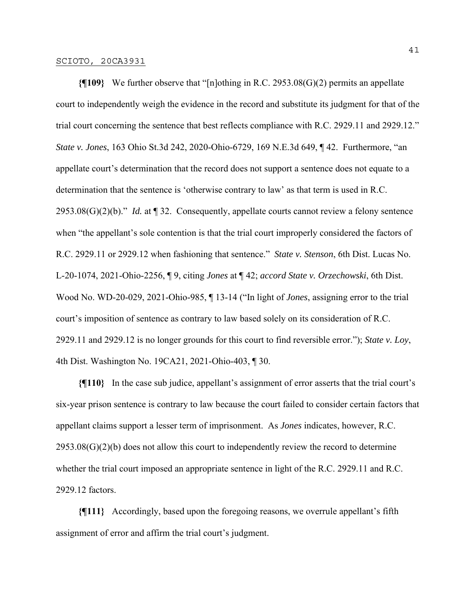**{¶109}** We further observe that "[n]othing in R.C. 2953.08(G)(2) permits an appellate court to independently weigh the evidence in the record and substitute its judgment for that of the trial court concerning the sentence that best reflects compliance with R.C. 2929.11 and 2929.12." *State v. Jones*, 163 Ohio St.3d 242, 2020-Ohio-6729, 169 N.E.3d 649, ¶ 42. Furthermore, "an appellate court's determination that the record does not support a sentence does not equate to a determination that the sentence is 'otherwise contrary to law' as that term is used in R.C. 2953.08(G)(2)(b)." *Id.* at ¶ 32. Consequently, appellate courts cannot review a felony sentence when "the appellant's sole contention is that the trial court improperly considered the factors of R.C. 2929.11 or 2929.12 when fashioning that sentence." *State v. Stenson*, 6th Dist. Lucas No. L-20-1074, 2021-Ohio-2256, ¶ 9, citing *Jones* at ¶ 42; *accord State v. Orzechowski*, 6th Dist. Wood No. WD-20-029, 2021-Ohio-985, ¶ 13-14 ("In light of *Jones*, assigning error to the trial court's imposition of sentence as contrary to law based solely on its consideration of R.C. 2929.11 and 2929.12 is no longer grounds for this court to find reversible error."); *State v. Loy*, 4th Dist. Washington No. 19CA21, 2021-Ohio-403, ¶ 30.

**{¶110}** In the case sub judice, appellant's assignment of error asserts that the trial court's six-year prison sentence is contrary to law because the court failed to consider certain factors that appellant claims support a lesser term of imprisonment. As *Jones* indicates, however, R.C. 2953.08(G)(2)(b) does not allow this court to independently review the record to determine whether the trial court imposed an appropriate sentence in light of the R.C. 2929.11 and R.C. 2929.12 factors.

**{¶111}** Accordingly, based upon the foregoing reasons, we overrule appellant's fifth assignment of error and affirm the trial court's judgment.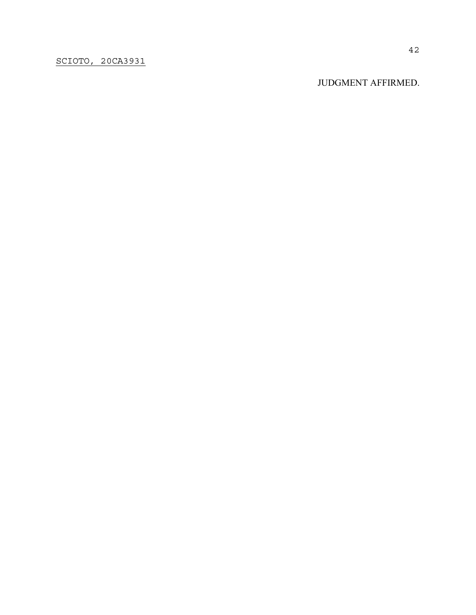JUDGMENT AFFIRMED.